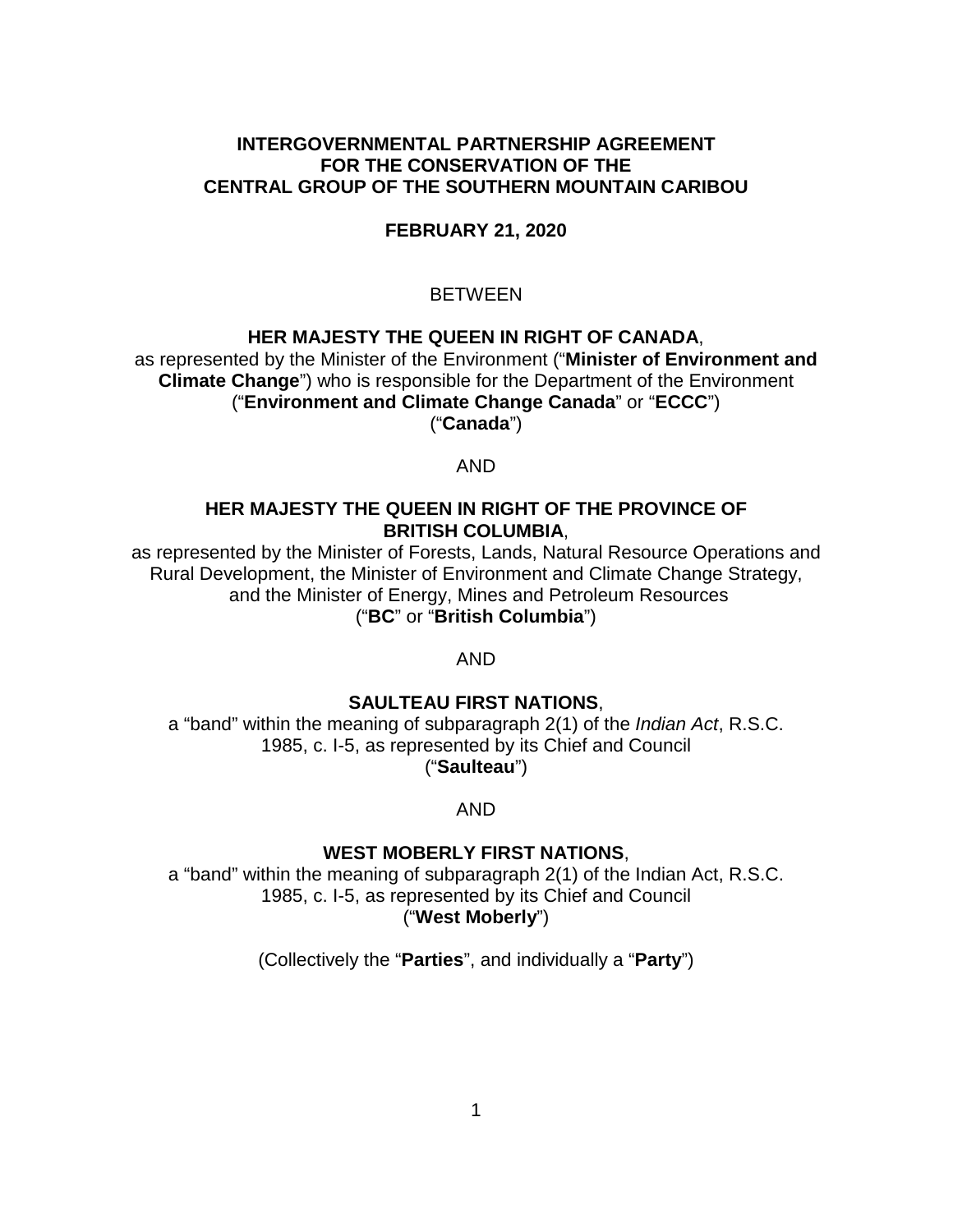### **INTERGOVERNMENTAL PARTNERSHIP AGREEMENT FOR THE CONSERVATION OF THE CENTRAL GROUP OF THE SOUTHERN MOUNTAIN CARIBOU**

### **FEBRUARY 21, 2020**

## BETWEEN

#### **HER MAJESTY THE QUEEN IN RIGHT OF CANADA**,

as represented by the Minister of the Environment ("**Minister of Environment and Climate Change**") who is responsible for the Department of the Environment ("**Environment and Climate Change Canada**" or "**ECCC**") ("**Canada**")

AND

### **HER MAJESTY THE QUEEN IN RIGHT OF THE PROVINCE OF BRITISH COLUMBIA**,

as represented by the Minister of Forests, Lands, Natural Resource Operations and Rural Development, the Minister of Environment and Climate Change Strategy, and the Minister of Energy, Mines and Petroleum Resources ("**BC**" or "**British Columbia**")

AND

### **SAULTEAU FIRST NATIONS**,

a "band" within the meaning of subparagraph 2(1) of the *Indian Act*, R.S.C. 1985, c. I-5, as represented by its Chief and Council ("**Saulteau**")

AND

### **WEST MOBERLY FIRST NATIONS**,

a "band" within the meaning of subparagraph 2(1) of the Indian Act, R.S.C. 1985, c. I-5, as represented by its Chief and Council ("**West Moberly**")

(Collectively the "**Parties**", and individually a "**Party**")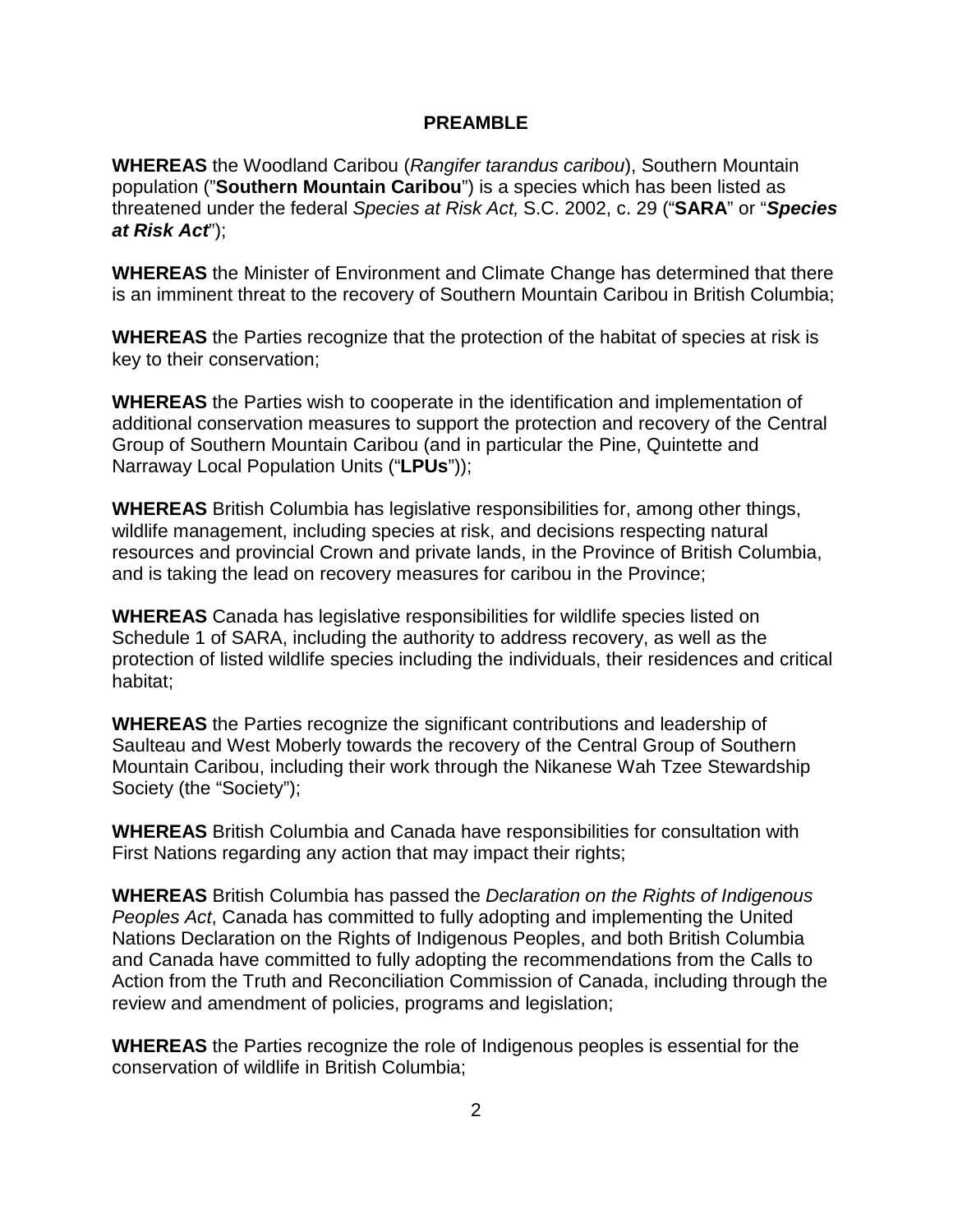#### **PREAMBLE**

**[WHEREAS](#page-2-0)** [the Woodland Caribou \(](#page-2-0)*[Rangifer tarandus caribou](#page-2-0)*[\), Southern Mountain](#page-2-0)  population ("**Southern Mountain Caribou**["\) is a species which has been listed as](#page-3-0)  [threatened under the federal](#page-5-0) *Species at Risk Act,* S.C. 2002, c. 29 ("**SARA**" or "*[Species](#page-5-0)  [at Risk Act](#page-12-0)*");

**WHEREAS** [the Minister of Environment and Climate Change has determined that there](#page-16-0)  [is an imminent threat to the recovery of Southern Mountain Caribou in British Columbia;](#page-22-0) 

**WHEREAS** the Parties recognize that the protection of the habitat of species at risk is key to their conservation;

**WHEREAS** the Parties wish to cooperate in the identification and implementation of additional conservation measures to support the protection and recovery of the Central Group of Southern Mountain Caribou (and in particular the Pine, Quintette and Narraway Local Population Units ("**LPUs**"));

**WHEREAS** British Columbia has legislative responsibilities for, among other things, wildlife management, including species at risk, and decisions respecting natural resources and provincial Crown and private lands, in the Province of British Columbia, and is taking the lead on recovery measures for caribou in the Province;

**WHEREAS** Canada has legislative responsibilities for wildlife species listed on Schedule 1 of SARA, including the authority to address recovery, as well as the protection of listed wildlife species including the individuals, their residences and critical habitat;

**WHEREAS** the Parties recognize the significant contributions and leadership of Saulteau and West Moberly towards the recovery of the Central Group of Southern Mountain Caribou, including their work through the Nikanese Wah Tzee Stewardship Society (the "Society");

**WHEREAS** British Columbia and Canada have responsibilities for consultation with First Nations regarding any action that may impact their rights;

**WHEREAS** British Columbia has passed the *Declaration on the Rights of Indigenous Peoples Act*, Canada has committed to fully adopting and implementing the United Nations Declaration on the Rights of Indigenous Peoples, and both British Columbia and Canada have committed to fully adopting the recommendations from the Calls to Action from the Truth and Reconciliation Commission of Canada, including through the review and amendment of policies, programs and legislation;

**WHEREAS** the Parties recognize the role of Indigenous peoples is essential for the conservation of wildlife in British Columbia;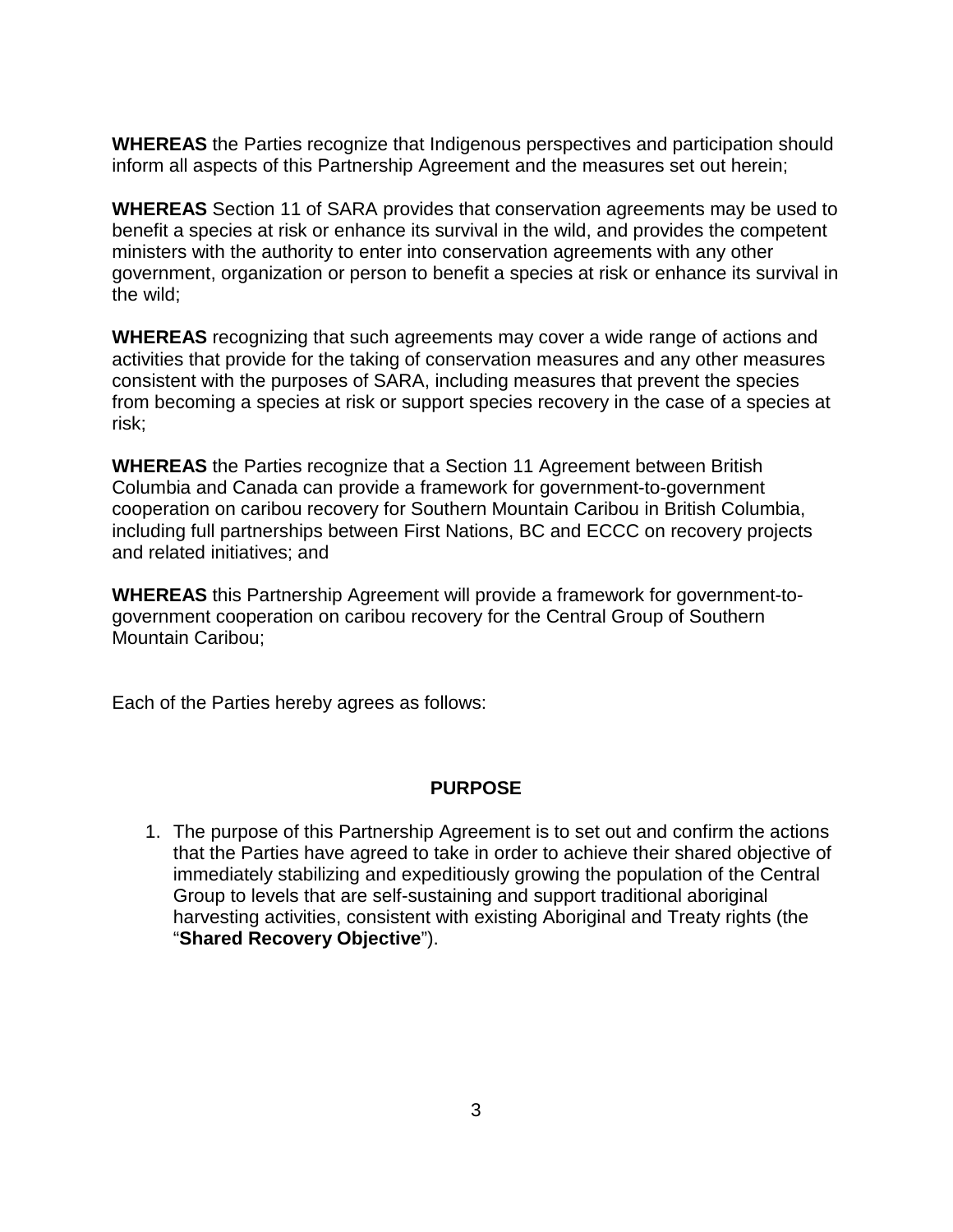<span id="page-2-0"></span>**WHEREAS** the Parties recognize that Indigenous perspectives and participation should inform all aspects of this Partnership Agreement and the measures set out herein;

**WHEREAS** Section 11 of SARA provides that conservation agreements may be used to benefit a species at risk or enhance its survival in the wild, and provides the competent ministers with the authority to enter into conservation agreements with any other government, organization or person to benefit a species at risk or enhance its survival in the wild;

**WHEREAS** recognizing that such agreements may cover a wide range of actions and activities that provide for the taking of conservation measures and any other measures consistent with the purposes of SARA, including measures that prevent the species from becoming a species at risk or support species recovery in the case of a species at risk;

**WHEREAS** the Parties recognize that a Section 11 Agreement between British Columbia and Canada can provide a framework for government-to-government cooperation on caribou recovery for Southern Mountain Caribou in British Columbia, including full partnerships between First Nations, BC and ECCC on recovery projects and related initiatives; and

**WHEREAS** this Partnership Agreement will provide a framework for government-togovernment cooperation on caribou recovery for the Central Group of Southern Mountain Caribou;

Each of the Parties hereby agrees as follows:

#### **PURPOSE**

1. The purpose of this Partnership Agreement is to set out and confirm the actions that the Parties have agreed to take in order to achieve their shared objective of immediately stabilizing and expeditiously growing the population of the Central Group to levels that are self-sustaining and support traditional aboriginal harvesting activities, consistent with existing Aboriginal and Treaty rights (the "**Shared Recovery Objective**").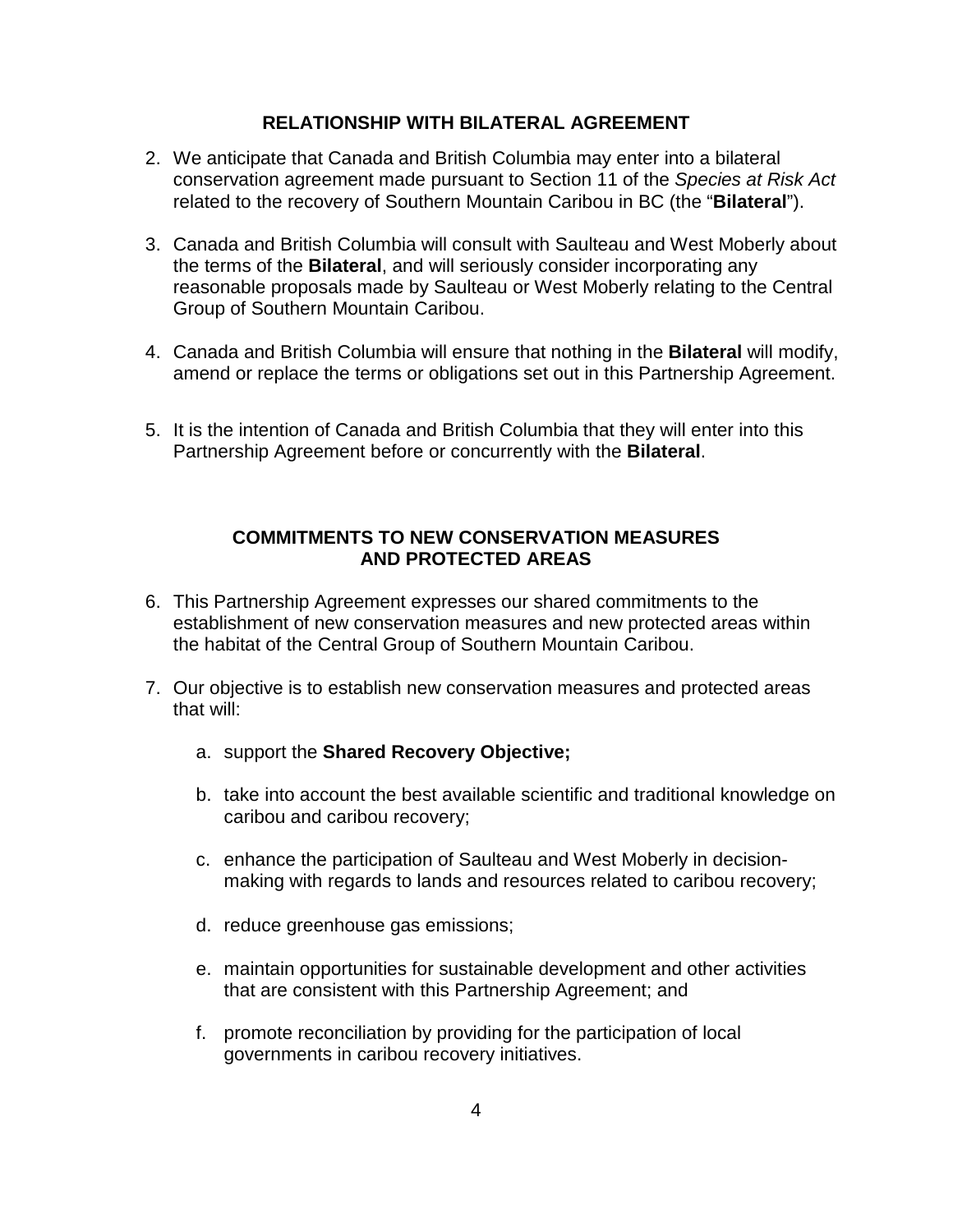### **RELATIONSHIP WITH BILATERAL AGREEMENT**

- 2. We anticipate that Canada and British Columbia may enter into a bilateral conservation agreement made pursuant to Section 11 of the *Species at Risk Act* related to the recovery of Southern Mountain Caribou in BC (the "**Bilateral**").
- 3. Canada and British Columbia will consult with Saulteau and West Moberly about the terms of the **Bilateral**, and will seriously consider incorporating any reasonable proposals made by Saulteau or West Moberly relating to the Central Group of Southern Mountain Caribou.
- 4. Canada and British Columbia will ensure that nothing in the **Bilateral** will modify, amend or replace the terms or obligations set out in this Partnership Agreement.
- <span id="page-3-0"></span>5. It is the intention of Canada and British Columbia that they will enter into this Partnership Agreement before or concurrently with the **Bilateral**.

## **COMMITMENTS TO NEW CONSERVATION MEASURES AND PROTECTED AREAS**

- 6. This Partnership Agreement expresses our shared commitments to the establishment of new conservation measures and new protected areas within the habitat of the Central Group of Southern Mountain Caribou.
- 7. Our objective is to establish new conservation measures and protected areas that will:
	- a. support the **Shared Recovery Objective;**
	- b. take into account the best available scientific and traditional knowledge on caribou and caribou recovery;
	- c. enhance the participation of Saulteau and West Moberly in decisionmaking with regards to lands and resources related to caribou recovery;
	- d. reduce greenhouse gas emissions;
	- e. maintain opportunities for sustainable development and other activities that are consistent with this Partnership Agreement; and
	- f. promote reconciliation by providing for the participation of local governments in caribou recovery initiatives.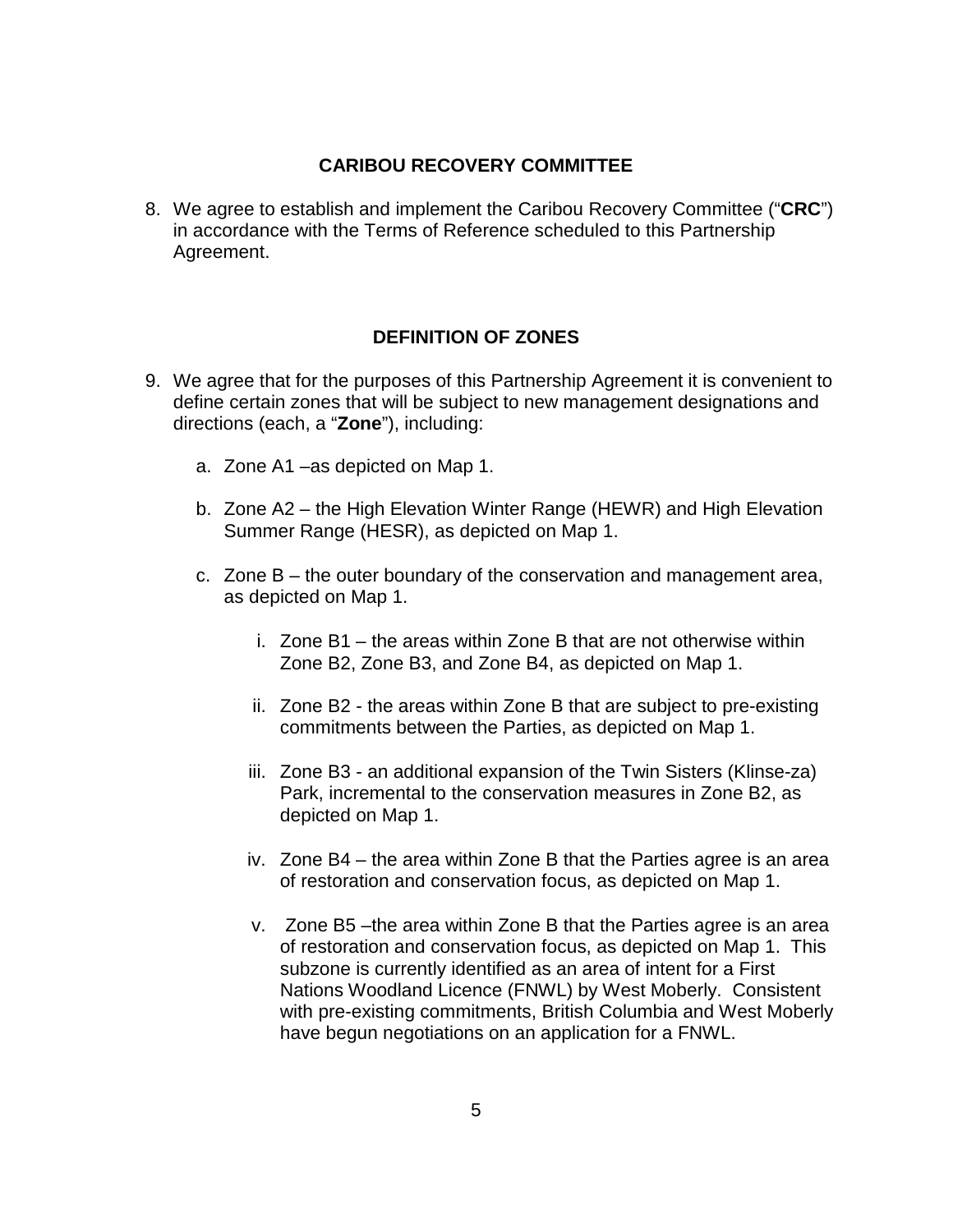### **CARIBOU RECOVERY COMMITTEE**

8. We agree to establish and implement the Caribou Recovery Committee ("**CRC**") in accordance with the Terms of Reference scheduled to this Partnership Agreement.

### **DEFINITION OF ZONES**

- 9. We agree that for the purposes of this Partnership Agreement it is convenient to define certain zones that will be subject to new management designations and directions (each, a "**Zone**"), including:
	- a. Zone A1 –as depicted on Map 1.
	- b. Zone A2 the High Elevation Winter Range (HEWR) and High Elevation Summer Range (HESR), as depicted on Map 1.
	- c. Zone B the outer boundary of the conservation and management area, as depicted on Map 1.
		- i. Zone B1 the areas within Zone B that are not otherwise within Zone B2, Zone B3, and Zone B4, as depicted on Map 1.
		- ii. Zone B2 the areas within Zone B that are subject to pre-existing commitments between the Parties, as depicted on Map 1.
		- iii. Zone B3 an additional expansion of the Twin Sisters (Klinse-za) Park, incremental to the conservation measures in Zone B2, as depicted on Map 1.
		- iv. Zone B4 the area within Zone B that the Parties agree is an area of restoration and conservation focus, as depicted on Map 1.
		- v. Zone B5 –the area within Zone B that the Parties agree is an area of restoration and conservation focus, as depicted on Map 1. This subzone is currently identified as an area of intent for a First Nations Woodland Licence (FNWL) by West Moberly. Consistent with pre-existing commitments, British Columbia and West Moberly have begun negotiations on an application for a FNWL.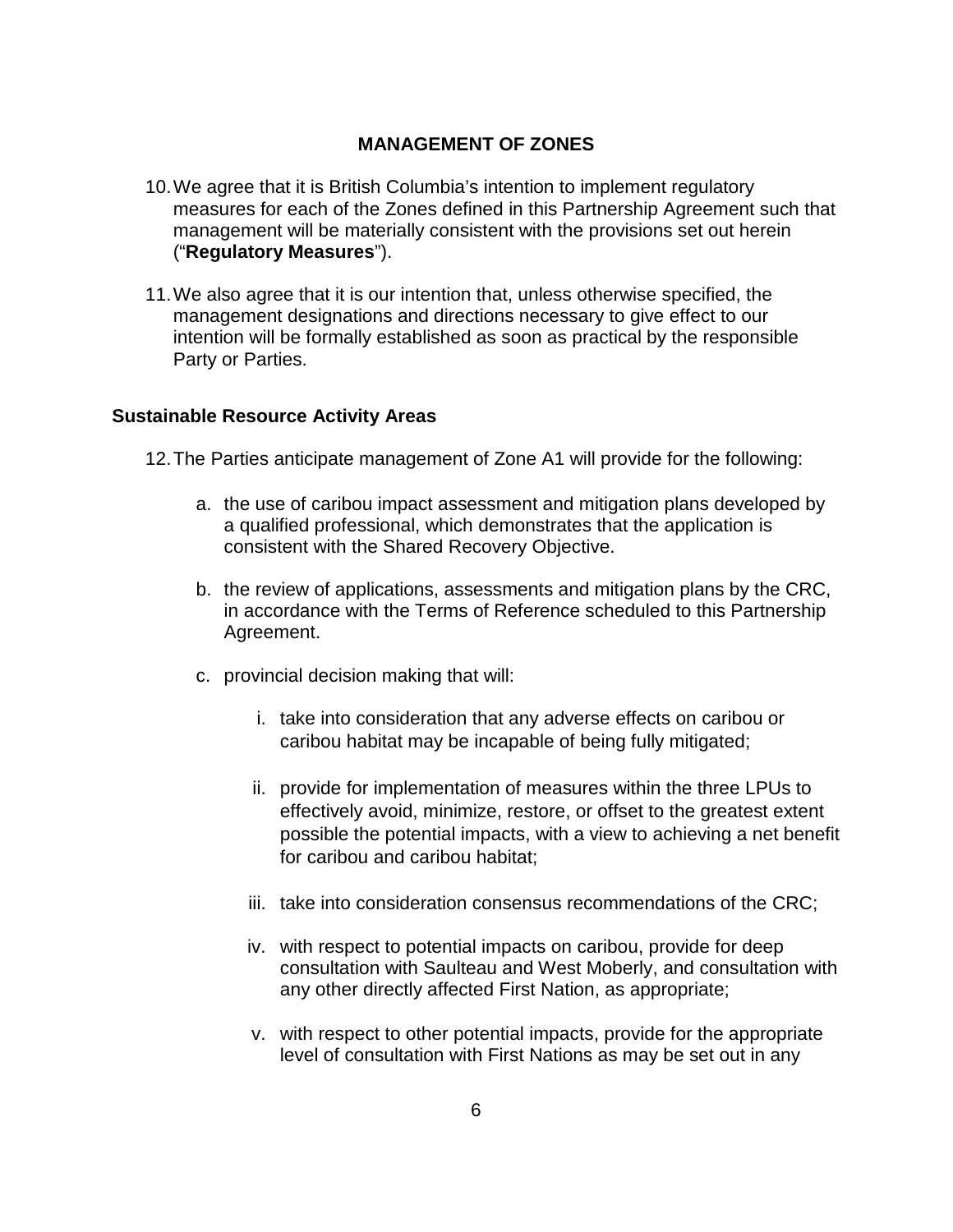## **MANAGEMENT OF ZONES**

- 10. We agree that it is British Columbia's intention to implement regulatory measures for each of the Zones defined in this Partnership Agreement such that management will be materially consistent with the provisions set out herein ("**Regulatory Measures**").
- 11. We also agree that it is our intention that, unless otherwise specified, the management designations and directions necessary to give effect to our intention will be formally established as soon as practical by the responsible Party or Parties.

### **Sustainable Resource Activity Areas**

12. The Parties anticipate management of Zone A1 will provide for the following:

- a. the use of caribou impact assessment and mitigation plans developed by a qualified professional, which demonstrates that the application is consistent with the Shared Recovery Objective.
- b. the review of applications, assessments and mitigation plans by the CRC, in accordance with the Terms of Reference scheduled to this Partnership Agreement.
- <span id="page-5-0"></span>c. provincial decision making that will:
	- i. take into consideration that any adverse effects on caribou or caribou habitat may be incapable of being fully mitigated;
	- ii. provide for implementation of measures within the three LPUs to effectively avoid, minimize, restore, or offset to the greatest extent possible the potential impacts, with a view to achieving a net benefit for caribou and caribou habitat;
	- iii. take into consideration consensus recommendations of the CRC;
	- iv. with respect to potential impacts on caribou, provide for deep consultation with Saulteau and West Moberly, and consultation with any other directly affected First Nation, as appropriate;
	- v. with respect to other potential impacts, provide for the appropriate level of consultation with First Nations as may be set out in any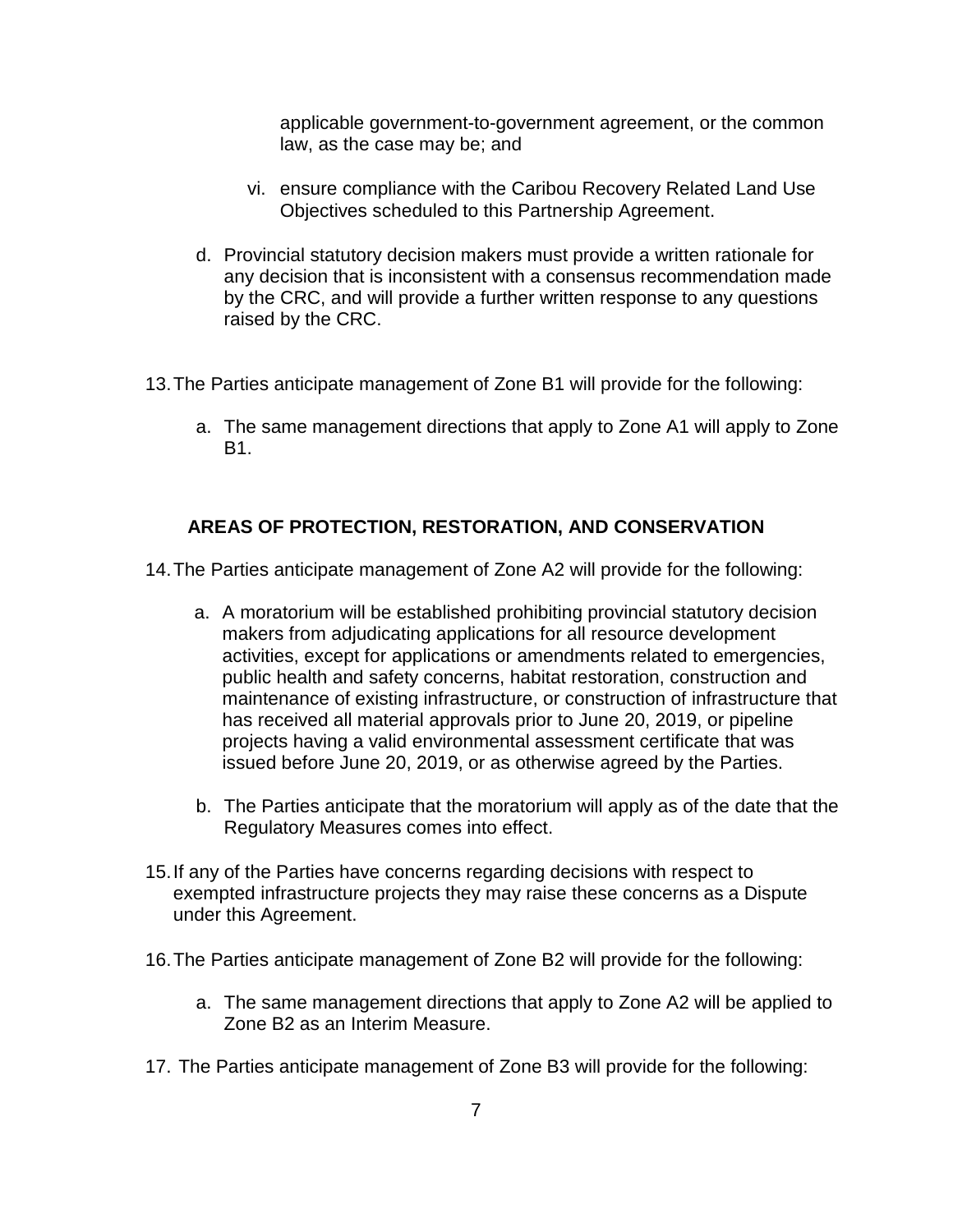applicable government-to-government agreement, or the common law, as the case may be; and

- vi. ensure compliance with the Caribou Recovery Related Land Use Objectives scheduled to this Partnership Agreement.
- d. Provincial statutory decision makers must provide a written rationale for any decision that is inconsistent with a consensus recommendation made by the CRC, and will provide a further written response to any questions raised by the CRC.
- 13. The Parties anticipate management of Zone B1 will provide for the following:
	- a. The same management directions that apply to Zone A1 will apply to Zone **B1**

# **AREAS OF PROTECTION, RESTORATION, AND CONSERVATION**

14. The Parties anticipate management of Zone A2 will provide for the following:

- a. A moratorium will be established prohibiting provincial statutory decision makers from adjudicating applications for all resource development activities, except for applications or amendments related to emergencies, public health and safety concerns, habitat restoration, construction and maintenance of existing infrastructure, or construction of infrastructure that has received all material approvals prior to June 20, 2019, or pipeline projects having a valid environmental assessment certificate that was issued before June 20, 2019, or as otherwise agreed by the Parties.
- b. The Parties anticipate that the moratorium will apply as of the date that the Regulatory Measures comes into effect.
- 15. If any of the Parties have concerns regarding decisions with respect to exempted infrastructure projects they may raise these concerns as a Dispute under this Agreement.
- 16. The Parties anticipate management of Zone B2 will provide for the following:
	- a. The same management directions that apply to Zone A2 will be applied to Zone B2 as an Interim Measure.
- 17. The Parties anticipate management of Zone B3 will provide for the following: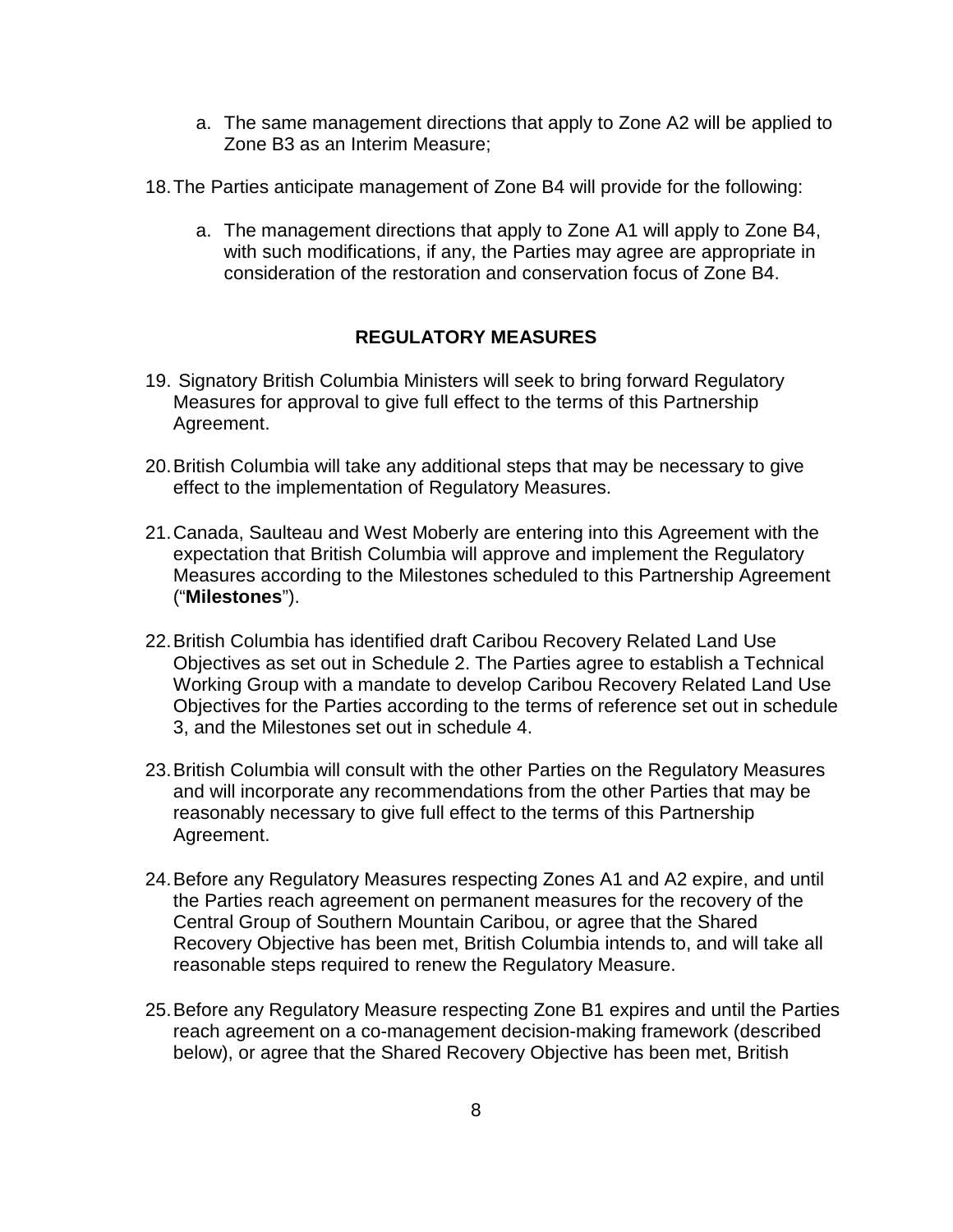- a. The same management directions that apply to Zone A2 will be applied to Zone B3 as an Interim Measure;
- 18. The Parties anticipate management of Zone B4 will provide for the following:
	- a. The management directions that apply to Zone A1 will apply to Zone B4, with such modifications, if any, the Parties may agree are appropriate in consideration of the restoration and conservation focus of Zone B4.

# **REGULATORY MEASURES**

- 19. Signatory British Columbia Ministers will seek to bring forward Regulatory Measures for approval to give full effect to the terms of this Partnership Agreement.
- 20. British Columbia will take any additional steps that may be necessary to give effect to the implementation of Regulatory Measures.
- 21. Canada, Saulteau and West Moberly are entering into this Agreement with the expectation that British Columbia will approve and implement the Regulatory Measures according to the Milestones scheduled to this Partnership Agreement ("**Milestones**").
- 22. British Columbia has identified draft Caribou Recovery Related Land Use Objectives as set out in Schedule 2. The Parties agree to establish a Technical Working Group with a mandate to develop Caribou Recovery Related Land Use Objectives for the Parties according to the terms of reference set out in schedule 3, and the Milestones set out in schedule 4.
- 23. British Columbia will consult with the other Parties on the Regulatory Measures and will incorporate any recommendations from the other Parties that may be reasonably necessary to give full effect to the terms of this Partnership Agreement.
- 24. Before any Regulatory Measures respecting Zones A1 and A2 expire, and until the Parties reach agreement on permanent measures for the recovery of the Central Group of Southern Mountain Caribou, or agree that the Shared Recovery Objective has been met, British Columbia intends to, and will take all reasonable steps required to renew the Regulatory Measure.
- 25. Before any Regulatory Measure respecting Zone B1 expires and until the Parties reach agreement on a co-management decision-making framework (described below), or agree that the Shared Recovery Objective has been met, British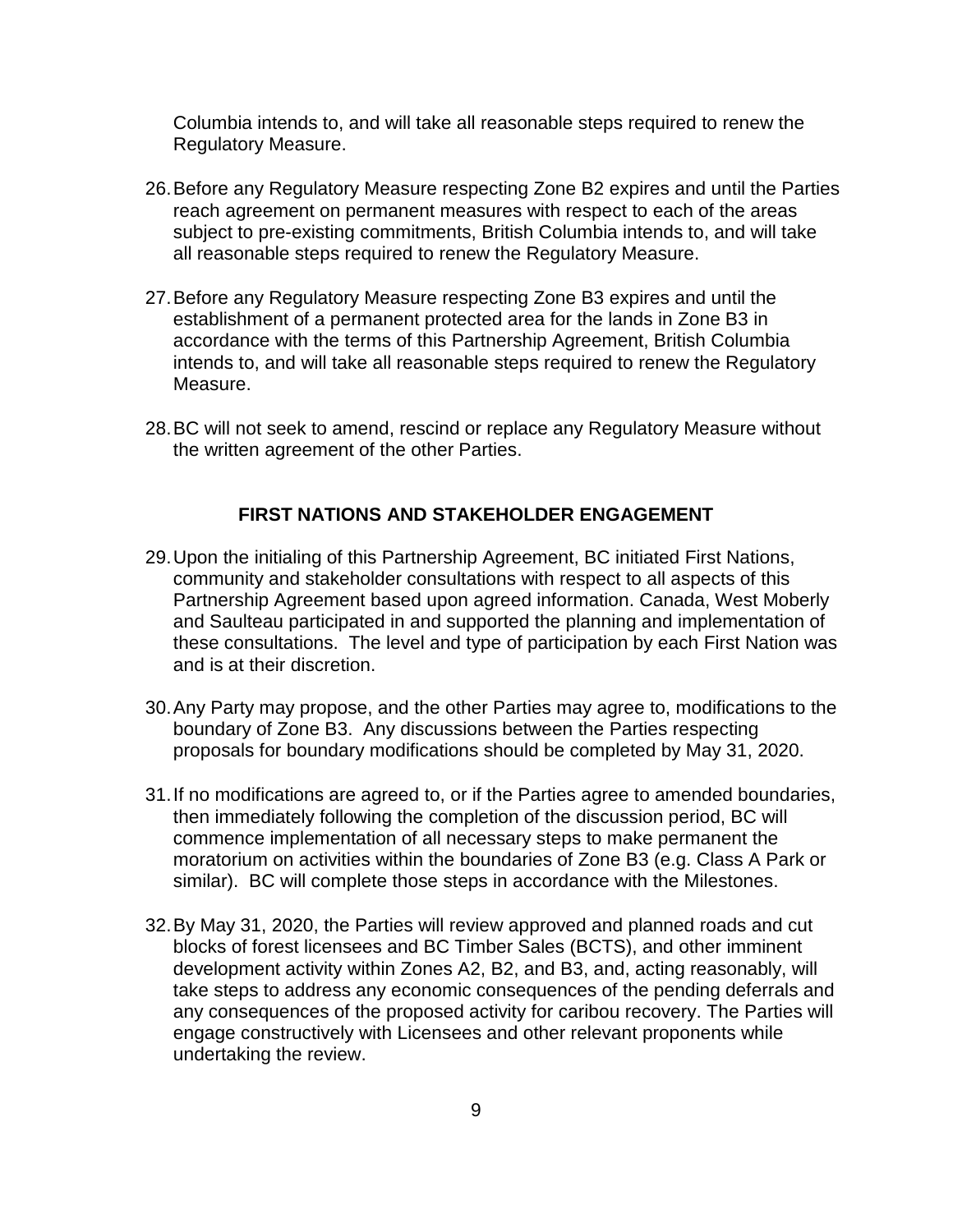Columbia intends to, and will take all reasonable steps required to renew the Regulatory Measure.

- 26. Before any Regulatory Measure respecting Zone B2 expires and until the Parties reach agreement on permanent measures with respect to each of the areas subject to pre-existing commitments, British Columbia intends to, and will take all reasonable steps required to renew the Regulatory Measure.
- 27. Before any Regulatory Measure respecting Zone B3 expires and until the establishment of a permanent protected area for the lands in Zone B3 in accordance with the terms of this Partnership Agreement, British Columbia intends to, and will take all reasonable steps required to renew the Regulatory Measure.
- 28. BC will not seek to amend, rescind or replace any Regulatory Measure without the written agreement of the other Parties.

### **FIRST NATIONS AND STAKEHOLDER ENGAGEMENT**

- 29. Upon the initialing of this Partnership Agreement, BC initiated First Nations, community and stakeholder consultations with respect to all aspects of this Partnership Agreement based upon agreed information. Canada, West Moberly and Saulteau participated in and supported the planning and implementation of these consultations. The level and type of participation by each First Nation was and is at their discretion.
- 30. Any Party may propose, and the other Parties may agree to, modifications to the boundary of Zone B3. Any discussions between the Parties respecting proposals for boundary modifications should be completed by May 31, 2020.
- 31. If no modifications are agreed to, or if the Parties agree to amended boundaries, then immediately following the completion of the discussion period, BC will commence implementation of all necessary steps to make permanent the moratorium on activities within the boundaries of Zone B3 (e.g. Class A Park or similar). BC will complete those steps in accordance with the Milestones.
- 32. By May 31, 2020, the Parties will review approved and planned roads and cut blocks of forest licensees and BC Timber Sales (BCTS), and other imminent development activity within Zones A2, B2, and B3, and, acting reasonably, will take steps to address any economic consequences of the pending deferrals and any consequences of the proposed activity for caribou recovery. The Parties will engage constructively with Licensees and other relevant proponents while undertaking the review.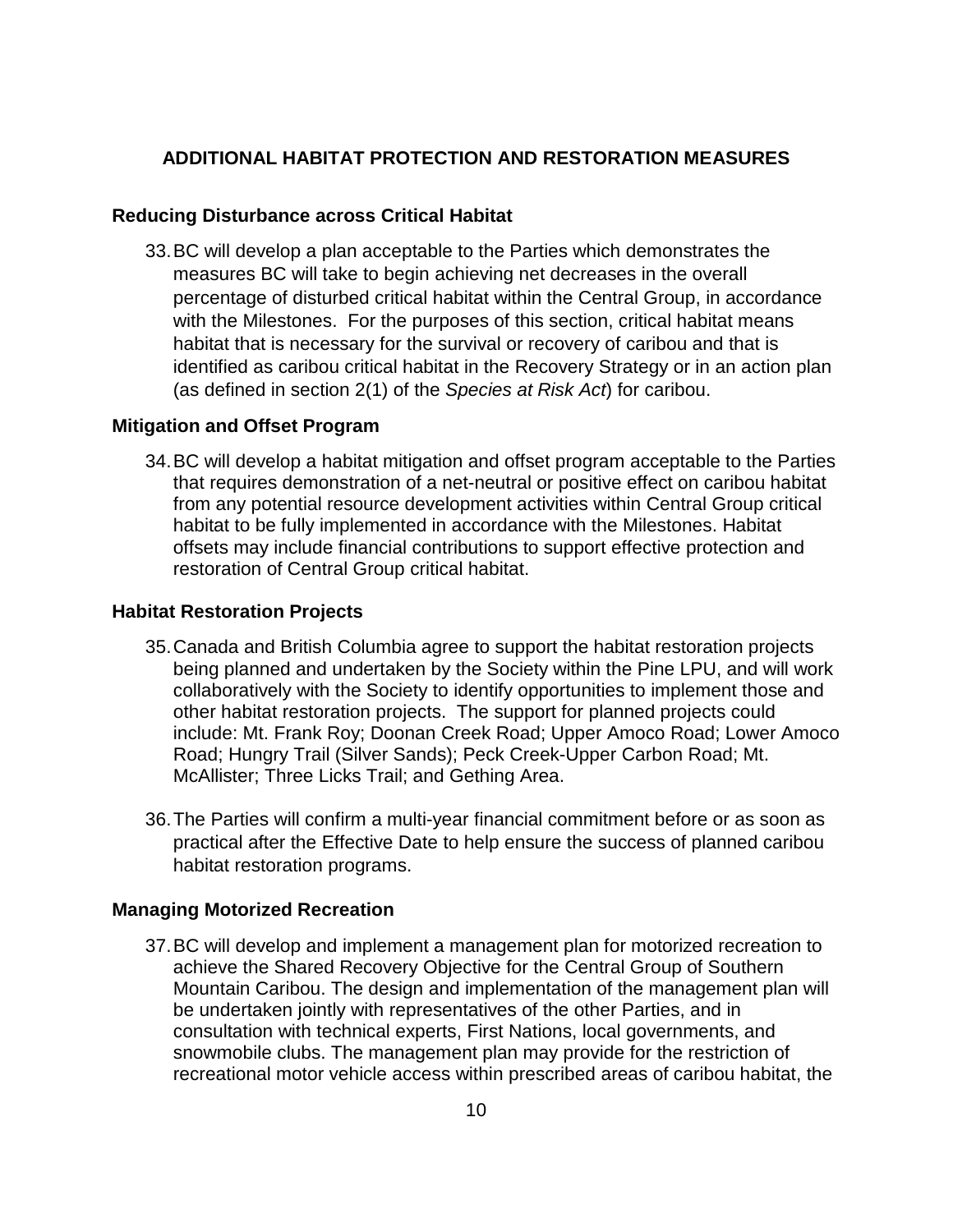### **ADDITIONAL HABITAT PROTECTION AND RESTORATION MEASURES**

#### **Reducing Disturbance across Critical Habitat**

33. BC will develop a plan acceptable to the Parties which demonstrates the measures BC will take to begin achieving net decreases in the overall percentage of disturbed critical habitat within the Central Group, in accordance with the Milestones. For the purposes of this section, critical habitat means habitat that is necessary for the survival or recovery of caribou and that is identified as caribou critical habitat in the Recovery Strategy or in an action plan (as defined in section 2(1) of the *Species at Risk Act*) for caribou.

#### **Mitigation and Offset Program**

34. BC will develop a habitat mitigation and offset program acceptable to the Parties that requires demonstration of a net-neutral or positive effect on caribou habitat from any potential resource development activities within Central Group critical habitat to be fully implemented in accordance with the Milestones. Habitat offsets may include financial contributions to support effective protection and restoration of Central Group critical habitat.

#### **Habitat Restoration Projects**

- 35. Canada and British Columbia agree to support the habitat restoration projects being planned and undertaken by the Society within the Pine LPU, and will work collaboratively with the Society to identify opportunities to implement those and other habitat restoration projects. The support for planned projects could include: Mt. Frank Roy; Doonan Creek Road; Upper Amoco Road; Lower Amoco Road; Hungry Trail (Silver Sands); Peck Creek-Upper Carbon Road; Mt. McAllister; Three Licks Trail; and Gething Area.
- 36. The Parties will confirm a multi-year financial commitment before or as soon as practical after the Effective Date to help ensure the success of planned caribou habitat restoration programs.

#### **Managing Motorized Recreation**

37. BC will develop and implement a management plan for motorized recreation to achieve the Shared Recovery Objective for the Central Group of Southern Mountain Caribou. The design and implementation of the management plan will be undertaken jointly with representatives of the other Parties, and in consultation with technical experts, First Nations, local governments, and snowmobile clubs. The management plan may provide for the restriction of recreational motor vehicle access within prescribed areas of caribou habitat, the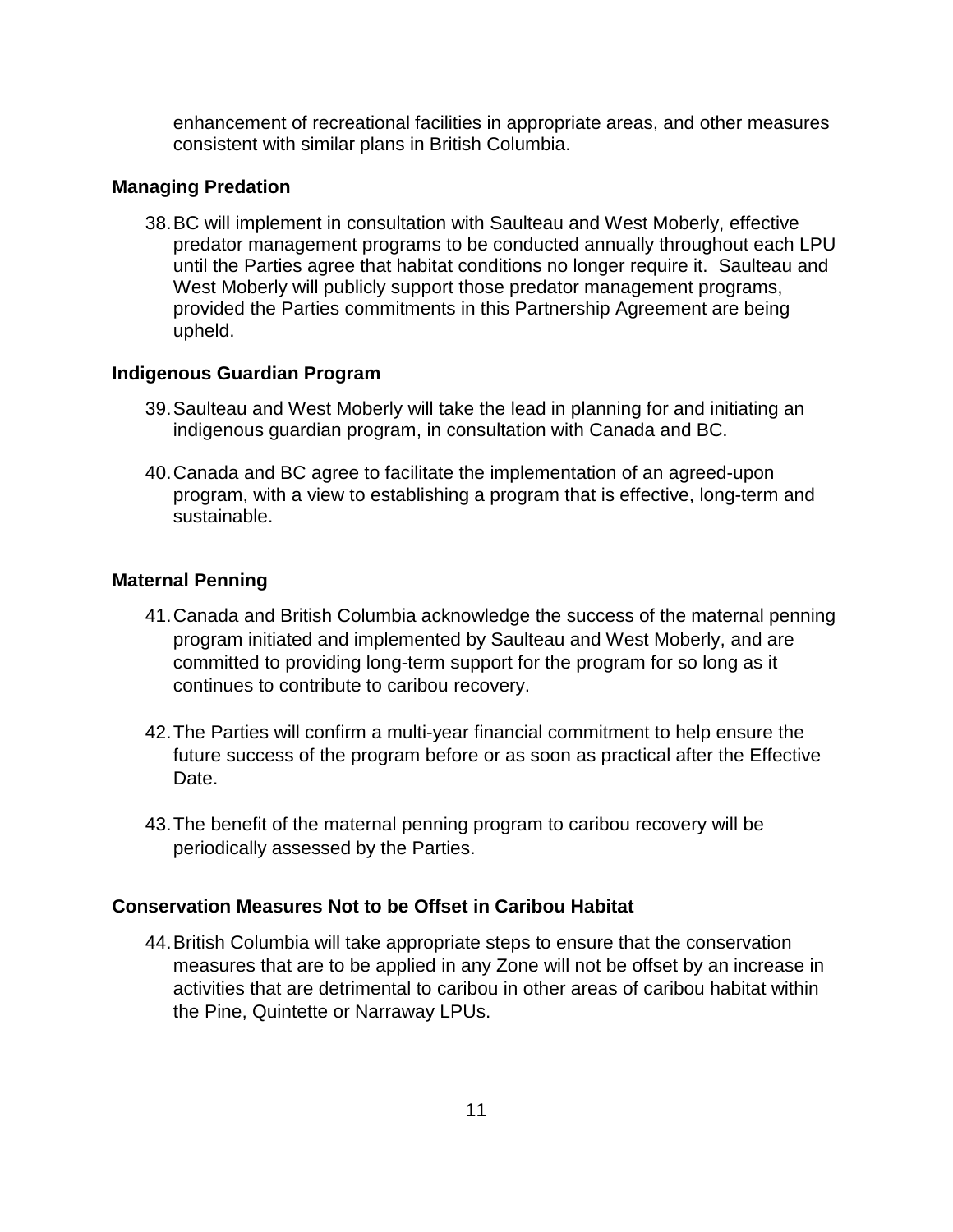enhancement of recreational facilities in appropriate areas, and other measures consistent with similar plans in British Columbia.

#### **Managing Predation**

38. BC will implement in consultation with Saulteau and West Moberly, effective predator management programs to be conducted annually throughout each LPU until the Parties agree that habitat conditions no longer require it. Saulteau and West Moberly will publicly support those predator management programs, provided the Parties commitments in this Partnership Agreement are being upheld.

#### **Indigenous Guardian Program**

- 39. Saulteau and West Moberly will take the lead in planning for and initiating an indigenous guardian program, in consultation with Canada and BC.
- 40. Canada and BC agree to facilitate the implementation of an agreed-upon program, with a view to establishing a program that is effective, long-term and sustainable.

#### **Maternal Penning**

- 41. Canada and British Columbia acknowledge the success of the maternal penning program initiated and implemented by Saulteau and West Moberly, and are committed to providing long-term support for the program for so long as it continues to contribute to caribou recovery.
- 42. The Parties will confirm a multi-year financial commitment to help ensure the future success of the program before or as soon as practical after the Effective Date.
- 43. The benefit of the maternal penning program to caribou recovery will be periodically assessed by the Parties.

# **Conservation Measures Not to be Offset in Caribou Habitat**

44. British Columbia will take appropriate steps to ensure that the conservation measures that are to be applied in any Zone will not be offset by an increase in activities that are detrimental to caribou in other areas of caribou habitat within the Pine, Quintette or Narraway LPUs.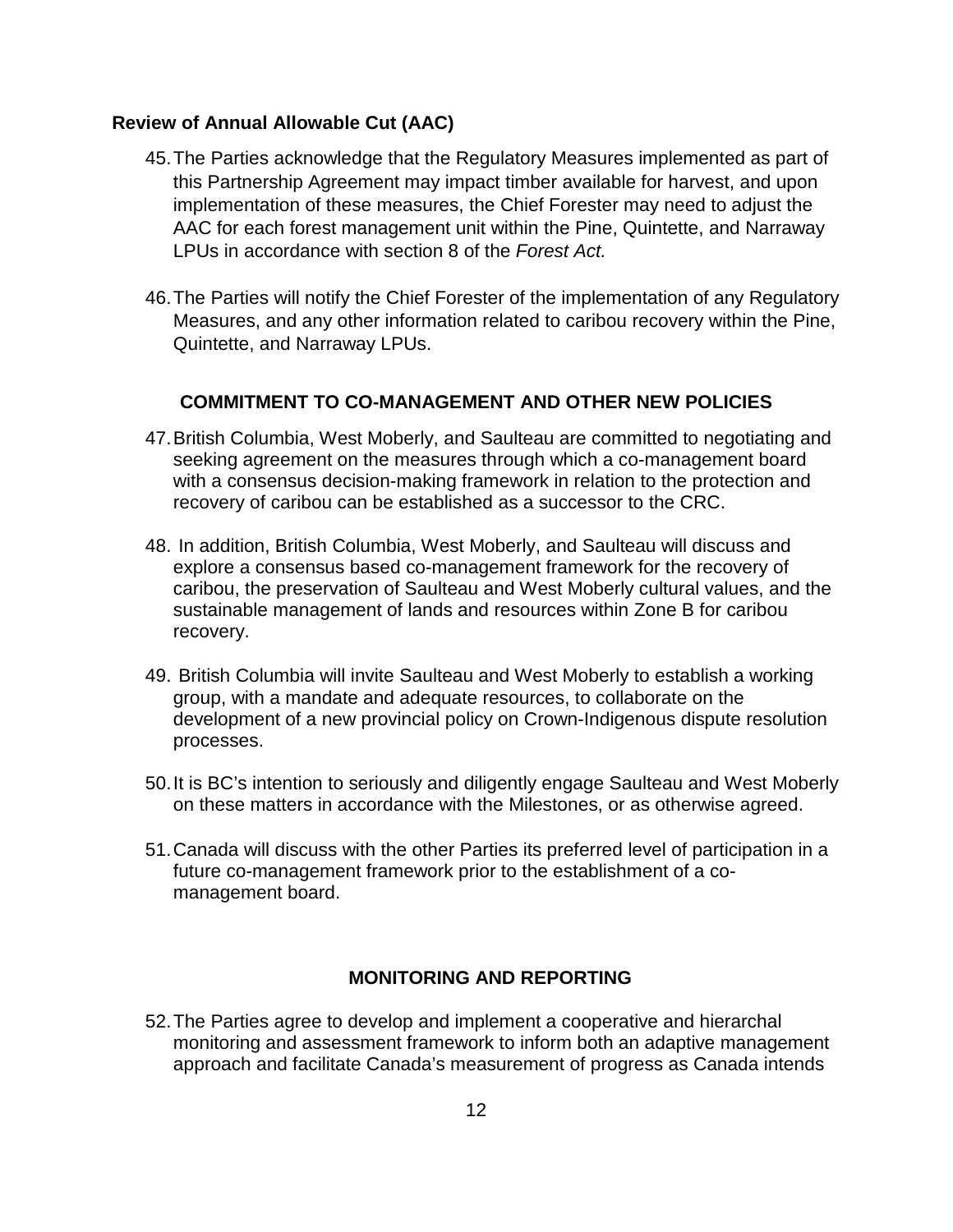### **Review of Annual Allowable Cut (AAC)**

- 45. The Parties acknowledge that the Regulatory Measures implemented as part of this Partnership Agreement may impact timber available for harvest, and upon implementation of these measures, the Chief Forester may need to adjust the AAC for each forest management unit within the Pine, Quintette, and Narraway LPUs in accordance with section 8 of the *Forest Act.*
- 46. The Parties will notify the Chief Forester of the implementation of any Regulatory Measures, and any other information related to caribou recovery within the Pine, Quintette, and Narraway LPUs.

### **COMMITMENT TO CO-MANAGEMENT AND OTHER NEW POLICIES**

- 47. British Columbia, West Moberly, and Saulteau are committed to negotiating and seeking agreement on the measures through which a co-management board with a consensus decision-making framework in relation to the protection and recovery of caribou can be established as a successor to the CRC.
- 48. In addition, British Columbia, West Moberly, and Saulteau will discuss and explore a consensus based co-management framework for the recovery of caribou, the preservation of Saulteau and West Moberly cultural values, and the sustainable management of lands and resources within Zone B for caribou recovery.
- 49. British Columbia will invite Saulteau and West Moberly to establish a working group, with a mandate and adequate resources, to collaborate on the development of a new provincial policy on Crown-Indigenous dispute resolution processes.
- 50. It is BC's intention to seriously and diligently engage Saulteau and West Moberly on these matters in accordance with the Milestones, or as otherwise agreed.
- 51. Canada will discuss with the other Parties its preferred level of participation in a future co-management framework prior to the establishment of a comanagement board.

### **MONITORING AND REPORTING**

52. The Parties agree to develop and implement a cooperative and hierarchal monitoring and assessment framework to inform both an adaptive management approach and facilitate Canada's measurement of progress as Canada intends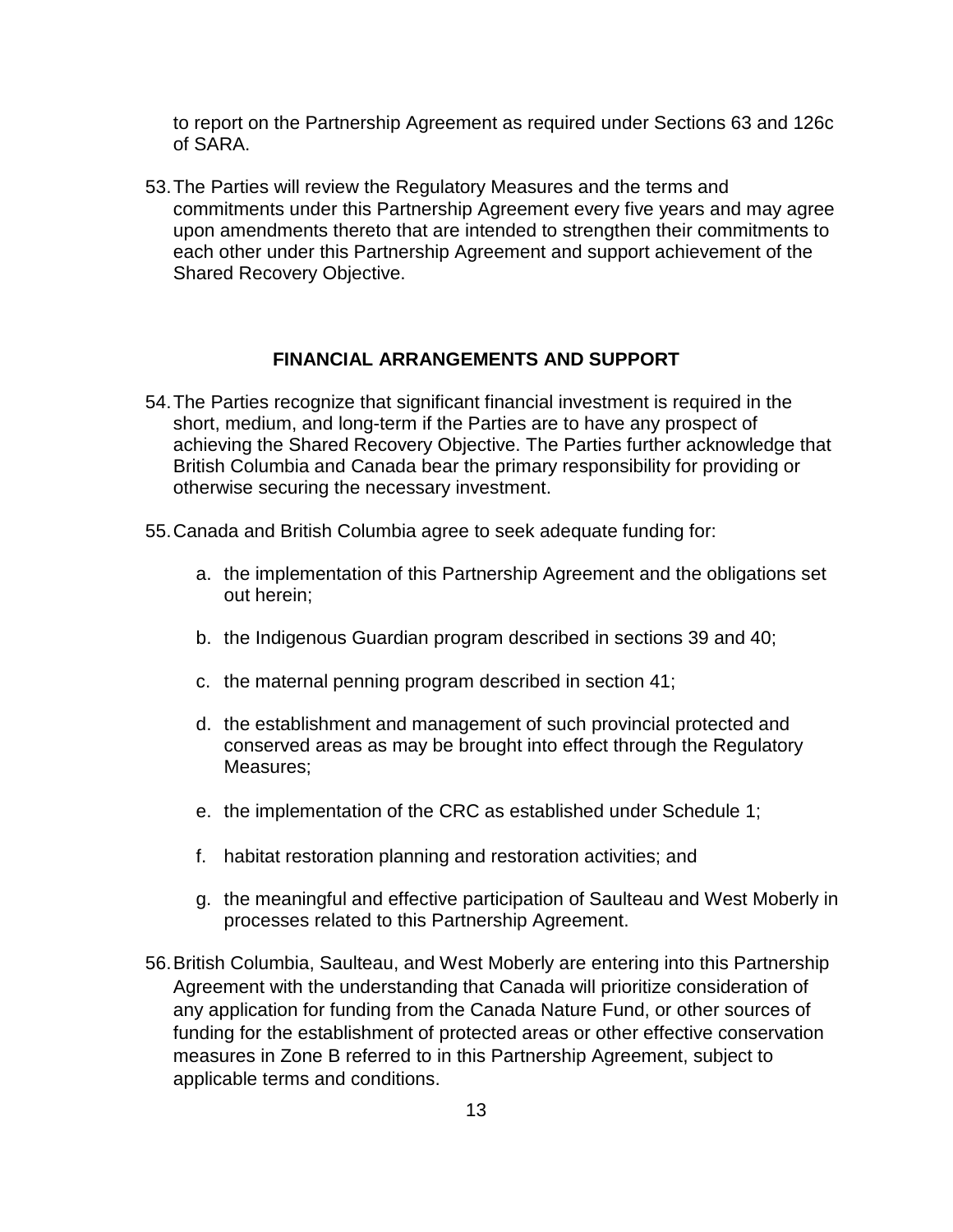to report on the Partnership Agreement as required under Sections 63 and 126c of SARA.

53. The Parties will review the Regulatory Measures and the terms and commitments under this Partnership Agreement every five years and may agree upon amendments thereto that are intended to strengthen their commitments to each other under this Partnership Agreement and support achievement of the Shared Recovery Objective.

### **FINANCIAL ARRANGEMENTS AND SUPPORT**

- <span id="page-12-0"></span>54. The Parties recognize that significant financial investment is required in the short, medium, and long-term if the Parties are to have any prospect of achieving the Shared Recovery Objective. The Parties further acknowledge that British Columbia and Canada bear the primary responsibility for providing or otherwise securing the necessary investment.
- 55. Canada and British Columbia agree to seek adequate funding for:
	- a. the implementation of this Partnership Agreement and the obligations set out herein;
	- b. the Indigenous Guardian program described in sections 39 and 40;
	- c. the maternal penning program described in section 41;
	- d. the establishment and management of such provincial protected and conserved areas as may be brought into effect through the Regulatory Measures;
	- e. the implementation of the CRC as established under Schedule 1;
	- f. habitat restoration planning and restoration activities; and
	- g. the meaningful and effective participation of Saulteau and West Moberly in processes related to this Partnership Agreement.
- 56. British Columbia, Saulteau, and West Moberly are entering into this Partnership Agreement with the understanding that Canada will prioritize consideration of any application for funding from the Canada Nature Fund, or other sources of funding for the establishment of protected areas or other effective conservation measures in Zone B referred to in this Partnership Agreement, subject to applicable terms and conditions.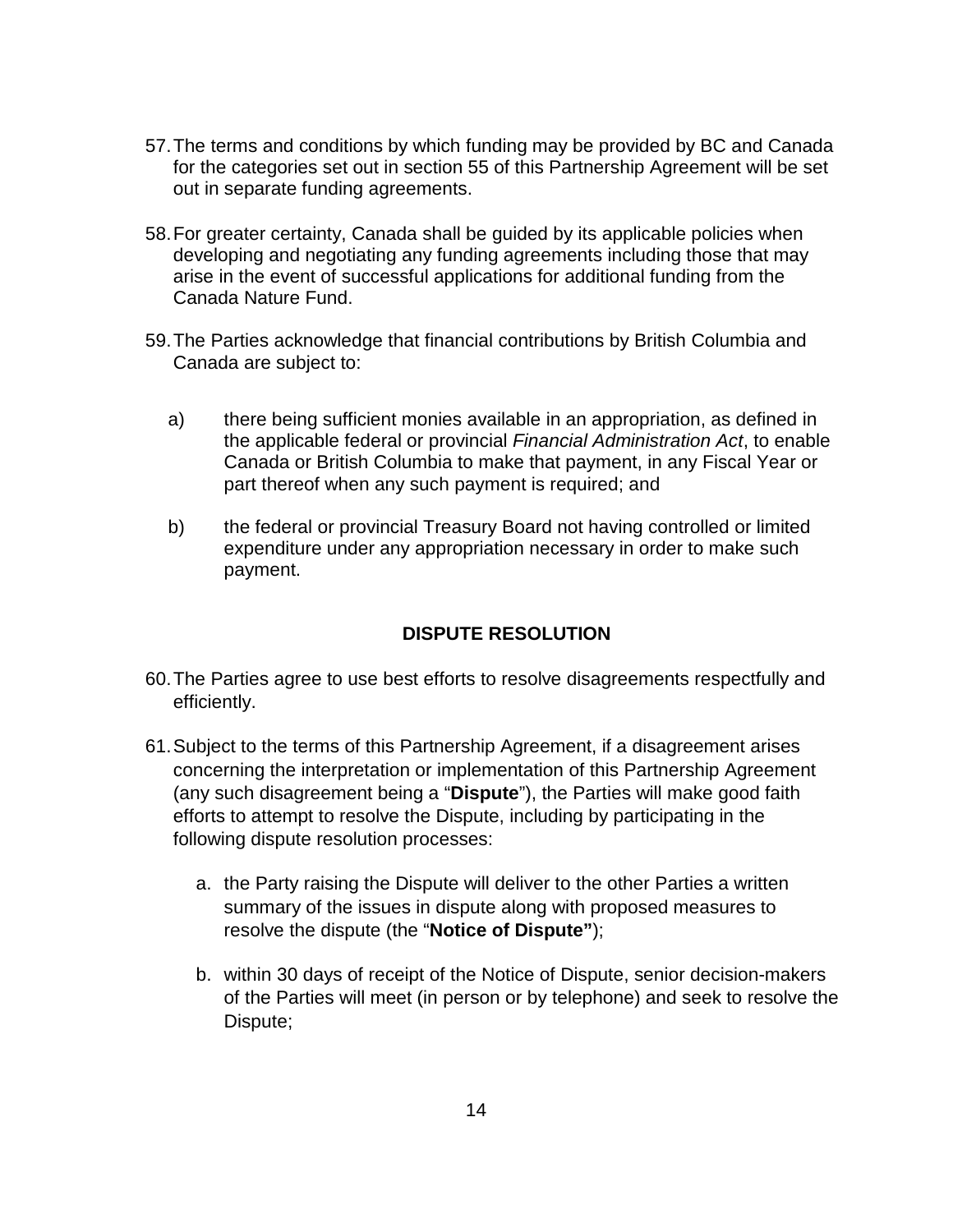- 57. The terms and conditions by which funding may be provided by BC and Canada for the categories set out in section 55 of this Partnership Agreement will be set out in separate funding agreements.
- 58. For greater certainty, Canada shall be guided by its applicable policies when developing and negotiating any funding agreements including those that may arise in the event of successful applications for additional funding from the Canada Nature Fund.
- 59. The Parties acknowledge that financial contributions by British Columbia and Canada are subject to:
	- a) there being sufficient monies available in an appropriation, as defined in the applicable federal or provincial *Financial Administration Act*, to enable Canada or British Columbia to make that payment, in any Fiscal Year or part thereof when any such payment is required; and
	- b) the federal or provincial Treasury Board not having controlled or limited expenditure under any appropriation necessary in order to make such payment.

# **DISPUTE RESOLUTION**

- 60. The Parties agree to use best efforts to resolve disagreements respectfully and efficiently.
- 61. Subject to the terms of this Partnership Agreement, if a disagreement arises concerning the interpretation or implementation of this Partnership Agreement (any such disagreement being a "**Dispute**"), the Parties will make good faith efforts to attempt to resolve the Dispute, including by participating in the following dispute resolution processes:
	- a. the Party raising the Dispute will deliver to the other Parties a written summary of the issues in dispute along with proposed measures to resolve the dispute (the "**Notice of Dispute"**);
	- b. within 30 days of receipt of the Notice of Dispute, senior decision-makers of the Parties will meet (in person or by telephone) and seek to resolve the Dispute;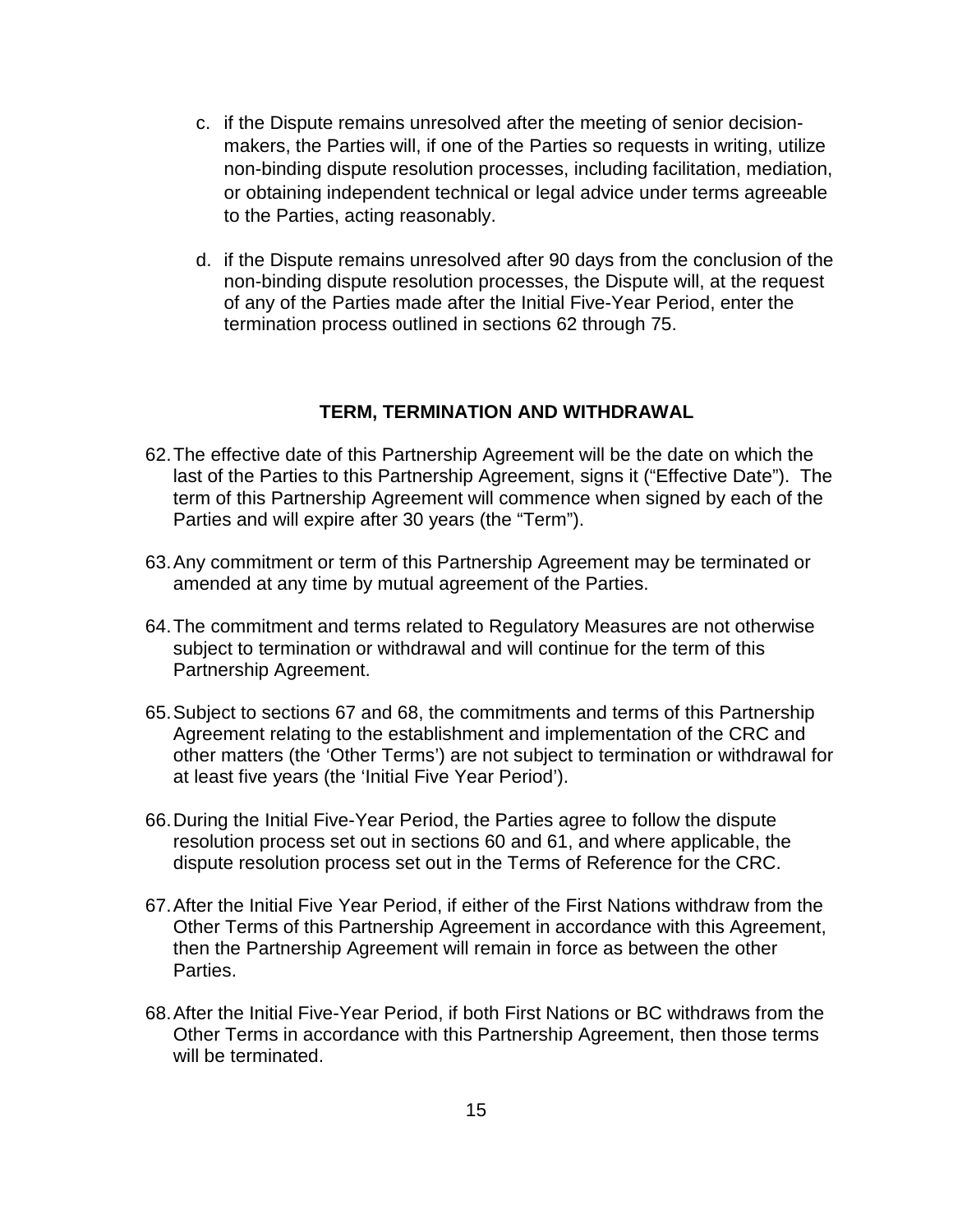- c. if the Dispute remains unresolved after the meeting of senior decisionmakers, the Parties will, if one of the Parties so requests in writing, utilize non-binding dispute resolution processes, including facilitation, mediation, or obtaining independent technical or legal advice under terms agreeable to the Parties, acting reasonably.
- d. if the Dispute remains unresolved after 90 days from the conclusion of the non-binding dispute resolution processes, the Dispute will, at the request of any of the Parties made after the Initial Five-Year Period, enter the termination process outlined in sections 62 through 75.

#### **TERM, TERMINATION AND WITHDRAWAL**

- 62. The effective date of this Partnership Agreement will be the date on which the last of the Parties to this Partnership Agreement, signs it ("Effective Date"). The term of this Partnership Agreement will commence when signed by each of the Parties and will expire after 30 years (the "Term").
- 63. Any commitment or term of this Partnership Agreement may be terminated or amended at any time by mutual agreement of the Parties.
- 64. The commitment and terms related to Regulatory Measures are not otherwise subject to termination or withdrawal and will continue for the term of this Partnership Agreement.
- 65. Subject to sections 67 and 68, the commitments and terms of this Partnership Agreement relating to the establishment and implementation of the CRC and other matters (the 'Other Terms') are not subject to termination or withdrawal for at least five years (the 'Initial Five Year Period').
- 66. During the Initial Five-Year Period, the Parties agree to follow the dispute resolution process set out in sections 60 and 61, and where applicable, the dispute resolution process set out in the Terms of Reference for the CRC.
- 67. After the Initial Five Year Period, if either of the First Nations withdraw from the Other Terms of this Partnership Agreement in accordance with this Agreement, then the Partnership Agreement will remain in force as between the other Parties.
- 68. After the Initial Five-Year Period, if both First Nations or BC withdraws from the Other Terms in accordance with this Partnership Agreement, then those terms will be terminated.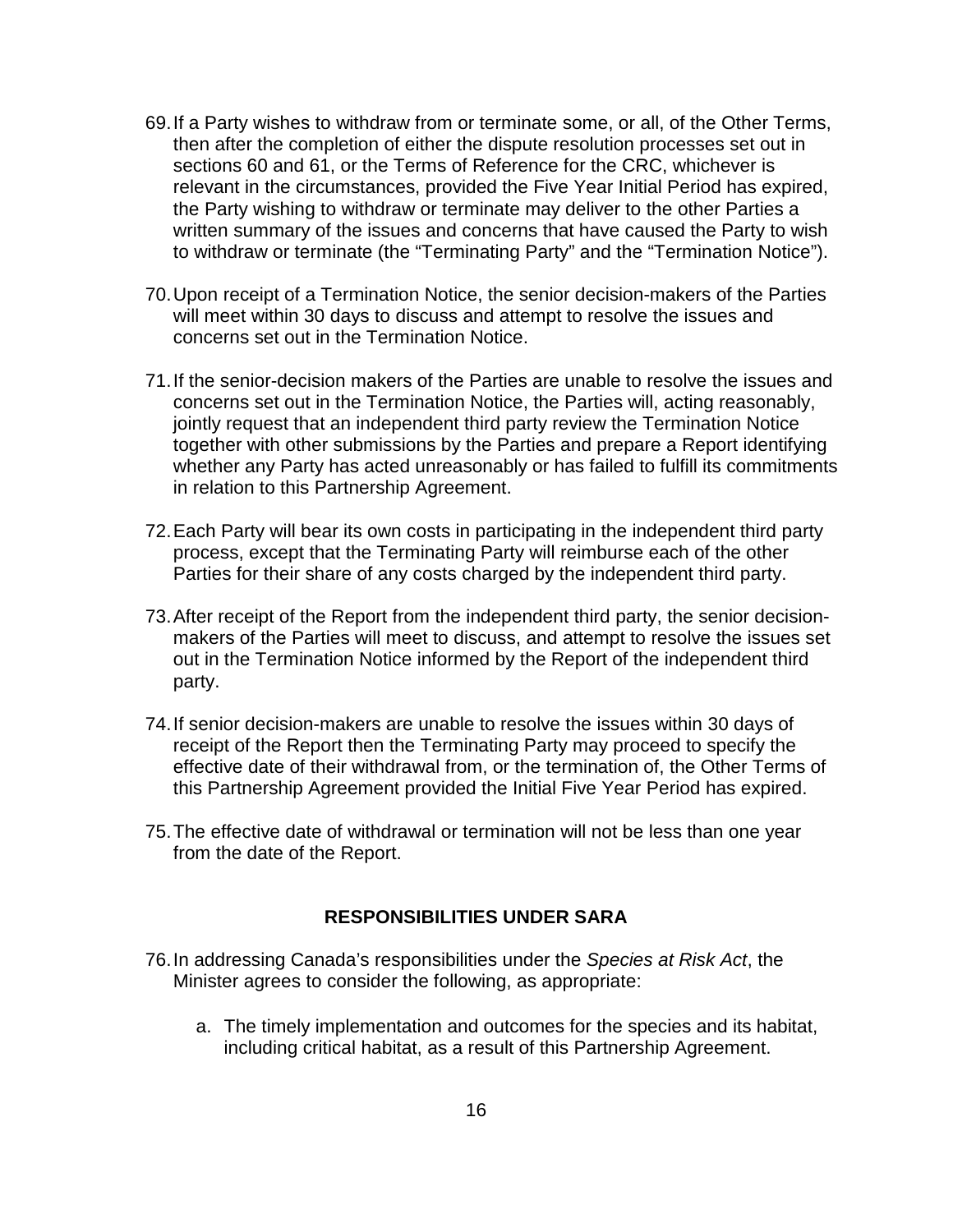- 69. If a Party wishes to withdraw from or terminate some, or all, of the Other Terms, then after the completion of either the dispute resolution processes set out in sections 60 and 61, or the Terms of Reference for the CRC, whichever is relevant in the circumstances, provided the Five Year Initial Period has expired, the Party wishing to withdraw or terminate may deliver to the other Parties a written summary of the issues and concerns that have caused the Party to wish to withdraw or terminate (the "Terminating Party" and the "Termination Notice").
- 70. Upon receipt of a Termination Notice, the senior decision-makers of the Parties will meet within 30 days to discuss and attempt to resolve the issues and concerns set out in the Termination Notice.
- 71. If the senior-decision makers of the Parties are unable to resolve the issues and concerns set out in the Termination Notice, the Parties will, acting reasonably, jointly request that an independent third party review the Termination Notice together with other submissions by the Parties and prepare a Report identifying whether any Party has acted unreasonably or has failed to fulfill its commitments in relation to this Partnership Agreement.
- 72. Each Party will bear its own costs in participating in the independent third party process, except that the Terminating Party will reimburse each of the other Parties for their share of any costs charged by the independent third party.
- 73. After receipt of the Report from the independent third party, the senior decisionmakers of the Parties will meet to discuss, and attempt to resolve the issues set out in the Termination Notice informed by the Report of the independent third party.
- 74. If senior decision-makers are unable to resolve the issues within 30 days of receipt of the Report then the Terminating Party may proceed to specify the effective date of their withdrawal from, or the termination of, the Other Terms of this Partnership Agreement provided the Initial Five Year Period has expired.
- 75. The effective date of withdrawal or termination will not be less than one year from the date of the Report.

#### **RESPONSIBILITIES UNDER SARA**

- 76. In addressing Canada's responsibilities under the *Species at Risk Act*, the Minister agrees to consider the following, as appropriate:
	- a. The timely implementation and outcomes for the species and its habitat, including critical habitat, as a result of this Partnership Agreement.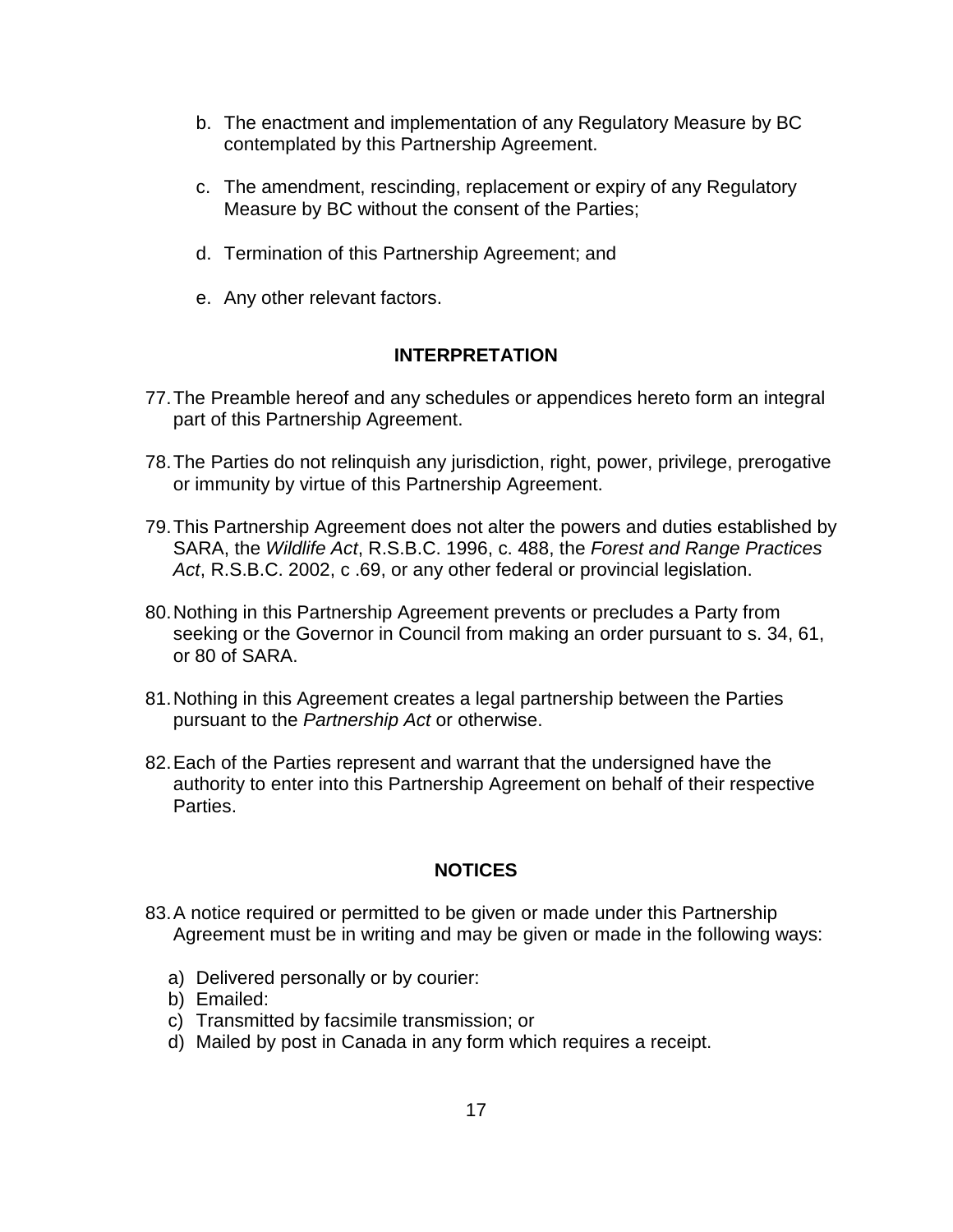- b. The enactment and implementation of any Regulatory Measure by BC contemplated by this Partnership Agreement.
- c. The amendment, rescinding, replacement or expiry of any Regulatory Measure by BC without the consent of the Parties;
- d. Termination of this Partnership Agreement; and
- e. Any other relevant factors.

### **INTERPRETATION**

- <span id="page-16-0"></span>77. The Preamble hereof and any schedules or appendices hereto form an integral part of this Partnership Agreement.
- 78. The Parties do not relinquish any jurisdiction, right, power, privilege, prerogative or immunity by virtue of this Partnership Agreement.
- 79. This Partnership Agreement does not alter the powers and duties established by SARA, the *Wildlife Act*, R.S.B.C. 1996, c. 488, the *Forest and Range Practices Act*, R.S.B.C. 2002, c .69, or any other federal or provincial legislation.
- 80. Nothing in this Partnership Agreement prevents or precludes a Party from seeking or the Governor in Council from making an order pursuant to s. 34, 61, or 80 of SARA.
- 81. Nothing in this Agreement creates a legal partnership between the Parties pursuant to the *Partnership Act* or otherwise.
- 82. Each of the Parties represent and warrant that the undersigned have the authority to enter into this Partnership Agreement on behalf of their respective Parties.

## **NOTICES**

- 83. A notice required or permitted to be given or made under this Partnership Agreement must be in writing and may be given or made in the following ways:
	- a) Delivered personally or by courier:
	- b) Emailed:
	- c) Transmitted by facsimile transmission; or
	- d) Mailed by post in Canada in any form which requires a receipt.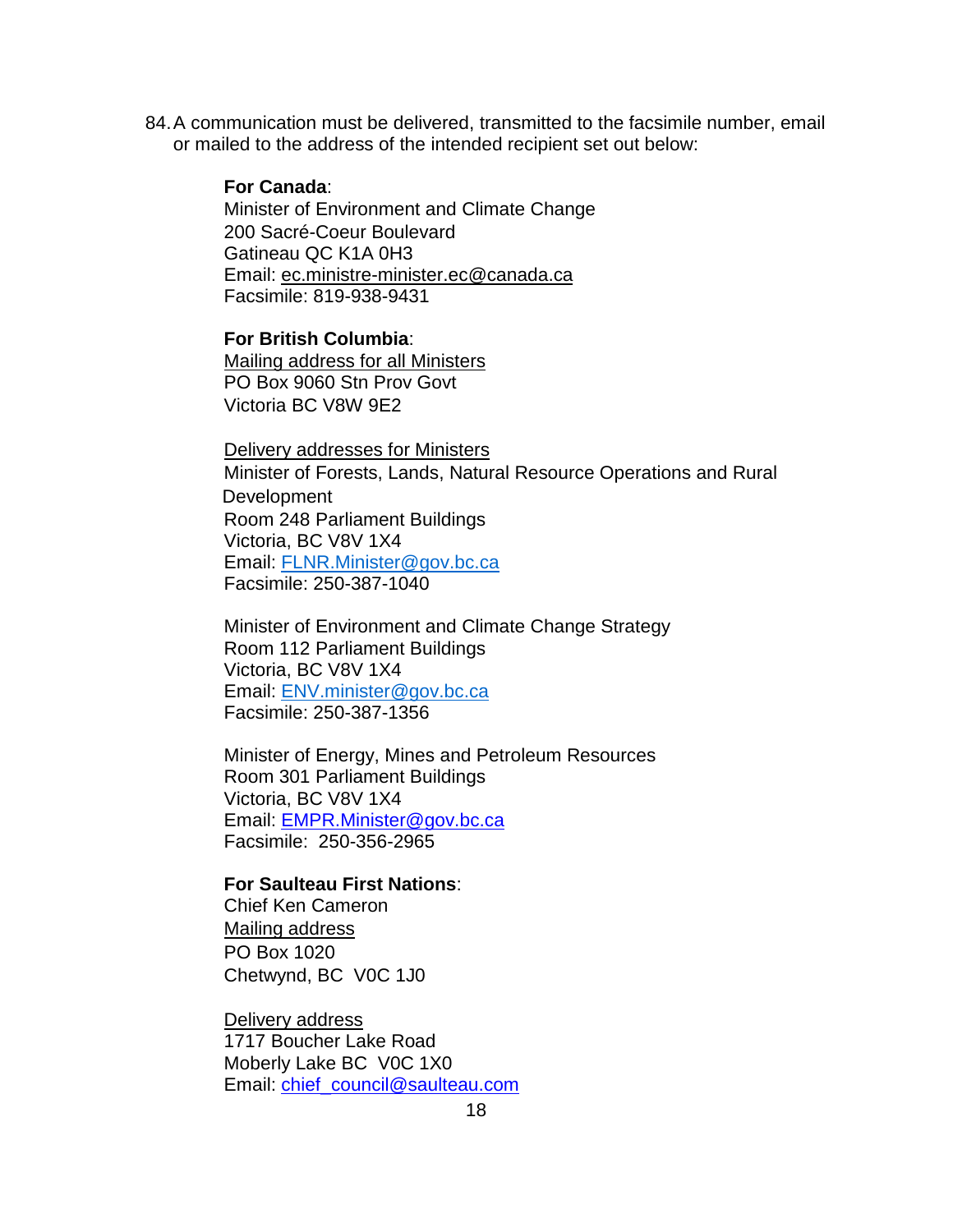84. A communication must be delivered, transmitted to the facsimile number, email or mailed to the address of the intended recipient set out below:

#### **For Canada**:

Minister of Environment and Climate Change 200 Sacré-Coeur Boulevard Gatineau QC K1A 0H3 Email: ec.ministre-minister.ec@canada.ca Facsimile: 819-938-9431

# **For British Columbia**:

Mailing address for all Ministers PO Box 9060 Stn Prov Govt Victoria BC V8W 9E2

Delivery addresses for Ministers Minister of Forests, Lands, Natural Resource Operations and Rural **Development** Room 248 Parliament Buildings Victoria, BC V8V 1X4 Email: FLNR.Minister@gov.bc.ca Facsimile: 250-387-1040

Minister of Environment and Climate Change Strategy Room 112 Parliament Buildings Victoria, BC V8V 1X4 Email: ENV.minister@gov.bc.ca Facsimile: 250-387-1356

Minister of Energy, Mines and Petroleum Resources Room 301 Parliament Buildings Victoria, BC V8V 1X4 Email: EMPR.Minister@gov.bc.ca Facsimile: 250-356-2965

#### **For Saulteau First Nations**:

Chief Ken Cameron Mailing address PO Box 1020 Chetwynd, BC V0C 1J0

Delivery address 1717 Boucher Lake Road Moberly Lake BC V0C 1X0 Email: chief\_council@saulteau.com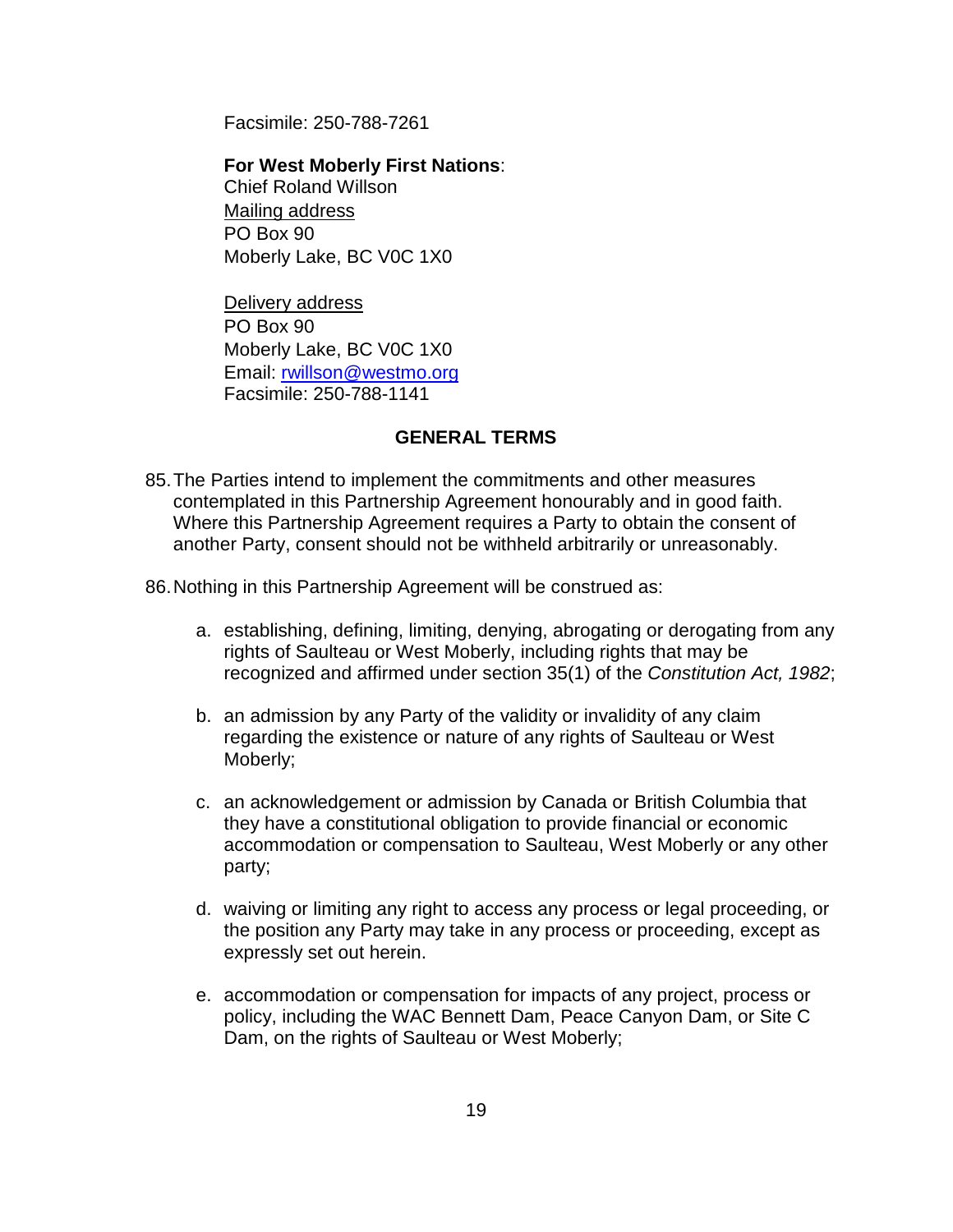Facsimile: 250-788-7261

## **For West Moberly First Nations**: Chief Roland Willson Mailing address PO Box 90 Moberly Lake, BC V0C 1X0

Delivery address PO Box 90 Moberly Lake, BC V0C 1X0 Email: rwillson@westmo.org Facsimile: 250-788-1141

### **GENERAL TERMS**

85. The Parties intend to implement the commitments and other measures contemplated in this Partnership Agreement honourably and in good faith. Where this Partnership Agreement requires a Party to obtain the consent of another Party, consent should not be withheld arbitrarily or unreasonably.

86. Nothing in this Partnership Agreement will be construed as:

- a. establishing, defining, limiting, denying, abrogating or derogating from any rights of Saulteau or West Moberly, including rights that may be recognized and affirmed under section 35(1) of the *Constitution Act, 1982*;
- b. an admission by any Party of the validity or invalidity of any claim regarding the existence or nature of any rights of Saulteau or West Moberly;
- c. an acknowledgement or admission by Canada or British Columbia that they have a constitutional obligation to provide financial or economic accommodation or compensation to Saulteau, West Moberly or any other party;
- d. waiving or limiting any right to access any process or legal proceeding, or the position any Party may take in any process or proceeding, except as expressly set out herein.
- e. accommodation or compensation for impacts of any project, process or policy, including the WAC Bennett Dam, Peace Canyon Dam, or Site C Dam, on the rights of Saulteau or West Moberly;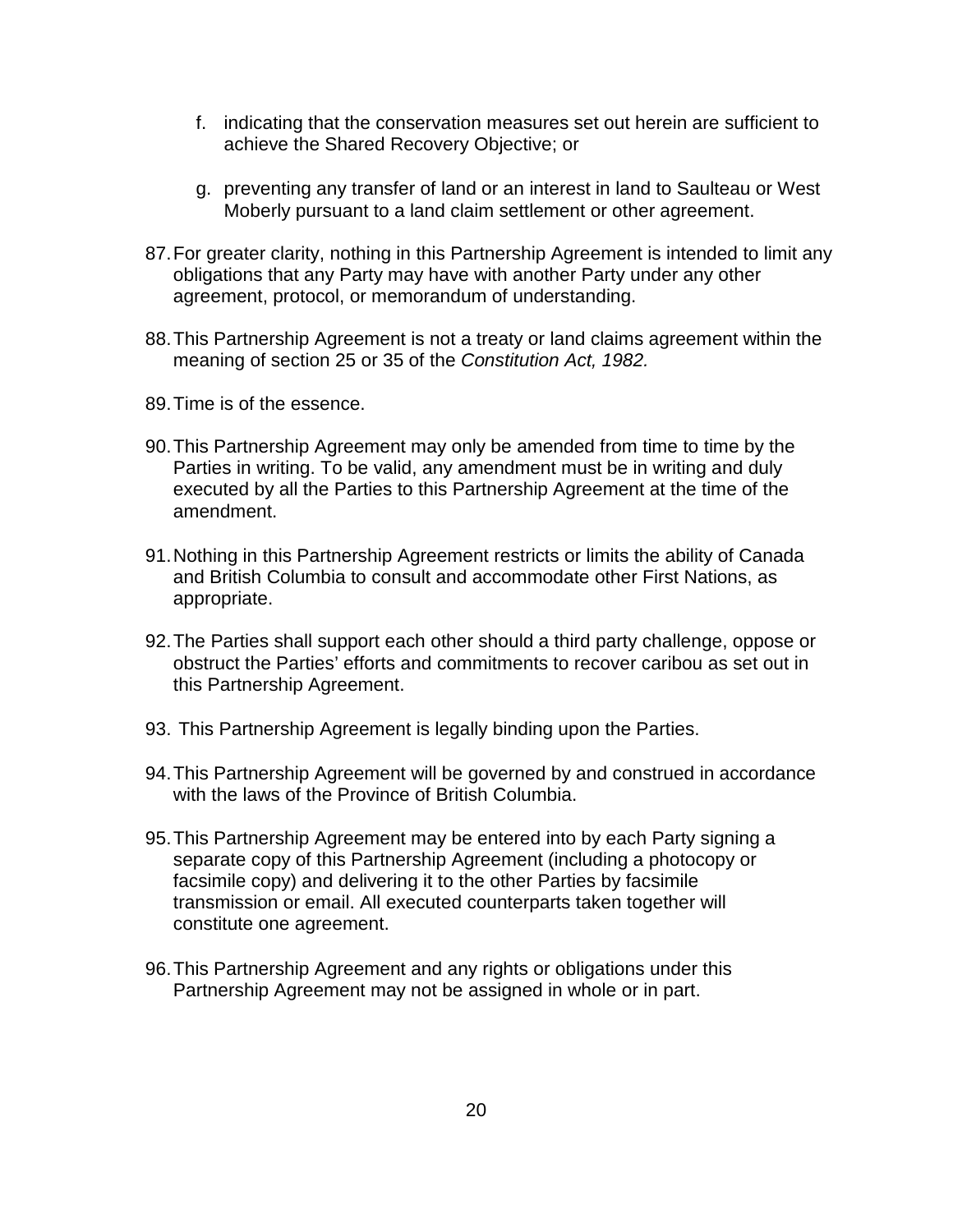- f. indicating that the conservation measures set out herein are sufficient to achieve the Shared Recovery Objective; or
- g. preventing any transfer of land or an interest in land to Saulteau or West Moberly pursuant to a land claim settlement or other agreement.
- 87. For greater clarity, nothing in this Partnership Agreement is intended to limit any obligations that any Party may have with another Party under any other agreement, protocol, or memorandum of understanding.
- 88. This Partnership Agreement is not a treaty or land claims agreement within the meaning of section 25 or 35 of the *Constitution Act, 1982.*
- 89. Time is of the essence.
- 90. This Partnership Agreement may only be amended from time to time by the Parties in writing. To be valid, any amendment must be in writing and duly executed by all the Parties to this Partnership Agreement at the time of the amendment.
- 91. Nothing in this Partnership Agreement restricts or limits the ability of Canada and British Columbia to consult and accommodate other First Nations, as appropriate.
- 92. The Parties shall support each other should a third party challenge, oppose or obstruct the Parties' efforts and commitments to recover caribou as set out in this Partnership Agreement.
- 93. This Partnership Agreement is legally binding upon the Parties.
- 94. This Partnership Agreement will be governed by and construed in accordance with the laws of the Province of British Columbia.
- 95. This Partnership Agreement may be entered into by each Party signing a separate copy of this Partnership Agreement (including a photocopy or facsimile copy) and delivering it to the other Parties by facsimile transmission or email. All executed counterparts taken together will constitute one agreement.
- 96. This Partnership Agreement and any rights or obligations under this Partnership Agreement may not be assigned in whole or in part.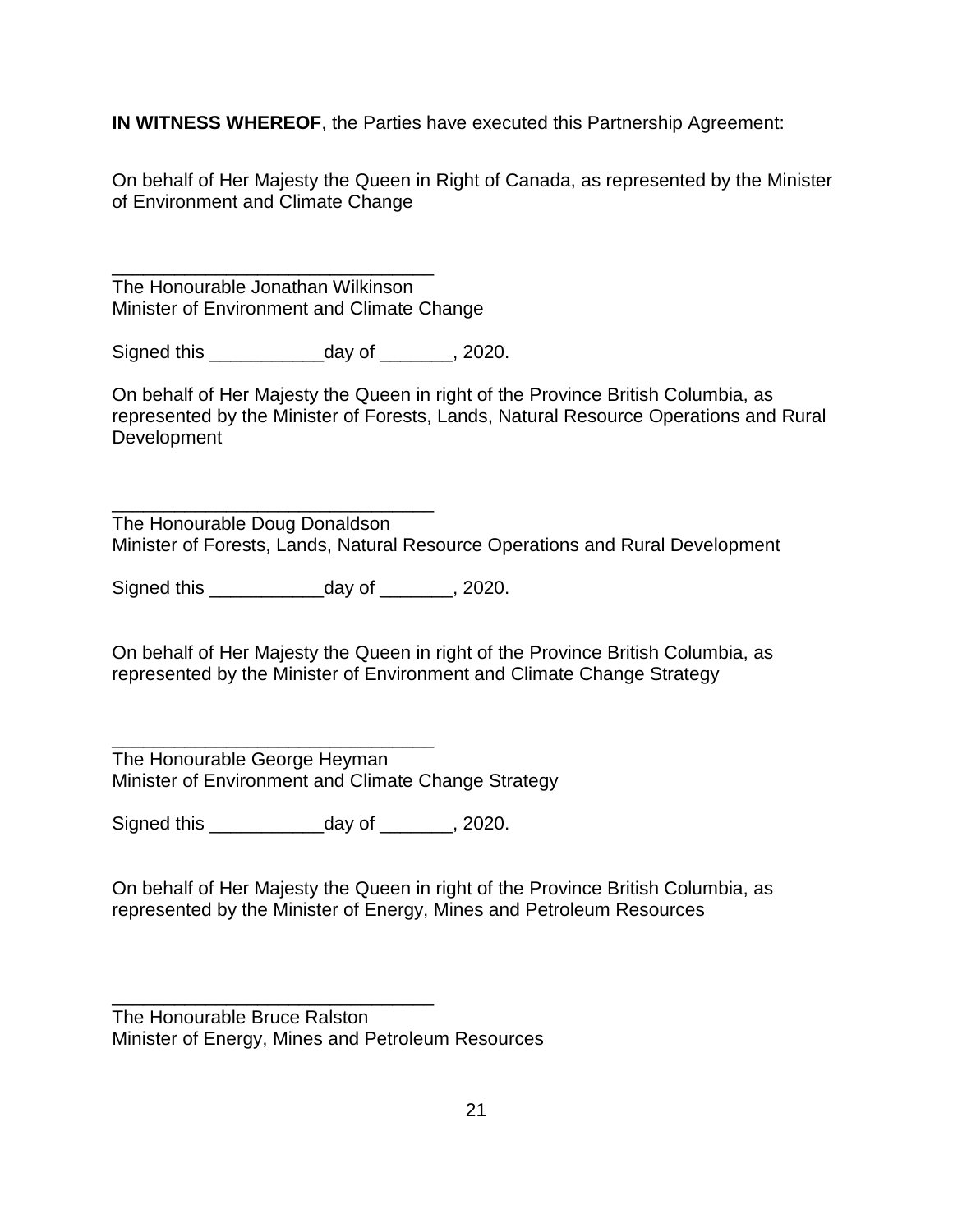**IN WITNESS WHEREOF**, the Parties have executed this Partnership Agreement:

On behalf of Her Majesty the Queen in Right of Canada, as represented by the Minister of Environment and Climate Change

\_\_\_\_\_\_\_\_\_\_\_\_\_\_\_\_\_\_\_\_\_\_\_\_\_\_\_\_\_\_\_ The Honourable Jonathan Wilkinson Minister of Environment and Climate Change

Signed this \_\_\_\_\_\_\_\_\_\_\_day of \_\_\_\_\_\_\_, 2020.

On behalf of Her Majesty the Queen in right of the Province British Columbia, as represented by the Minister of Forests, Lands, Natural Resource Operations and Rural Development

\_\_\_\_\_\_\_\_\_\_\_\_\_\_\_\_\_\_\_\_\_\_\_\_\_\_\_\_\_\_\_ The Honourable Doug Donaldson Minister of Forests, Lands, Natural Resource Operations and Rural Development

Signed this \_\_\_\_\_\_\_\_\_\_\_day of \_\_\_\_\_\_\_, 2020.

On behalf of Her Majesty the Queen in right of the Province British Columbia, as represented by the Minister of Environment and Climate Change Strategy

\_\_\_\_\_\_\_\_\_\_\_\_\_\_\_\_\_\_\_\_\_\_\_\_\_\_\_\_\_\_\_ The Honourable George Heyman Minister of Environment and Climate Change Strategy

Signed this \_\_\_\_\_\_\_\_\_\_\_day of \_\_\_\_\_\_\_, 2020.

On behalf of Her Majesty the Queen in right of the Province British Columbia, as represented by the Minister of Energy, Mines and Petroleum Resources

\_\_\_\_\_\_\_\_\_\_\_\_\_\_\_\_\_\_\_\_\_\_\_\_\_\_\_\_\_\_\_

The Honourable Bruce Ralston Minister of Energy, Mines and Petroleum Resources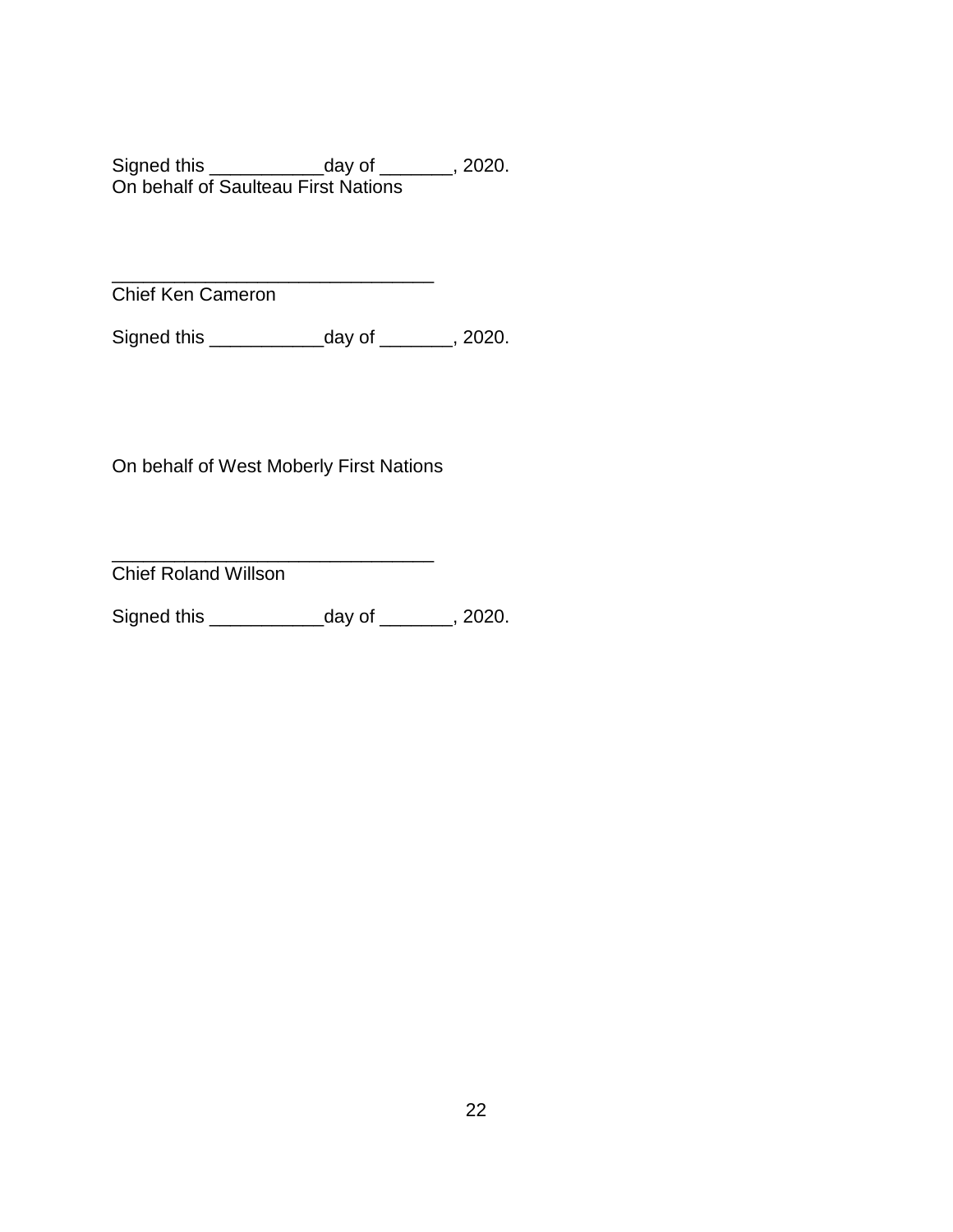Signed this \_\_\_\_\_\_\_\_\_\_\_day of \_\_\_\_\_\_\_, 2020. On behalf of Saulteau First Nations

\_\_\_\_\_\_\_\_\_\_\_\_\_\_\_\_\_\_\_\_\_\_\_\_\_\_\_\_\_\_\_ Chief Ken Cameron

Signed this \_\_\_\_\_\_\_\_\_\_\_day of \_\_\_\_\_\_\_, 2020.

On behalf of West Moberly First Nations

\_\_\_\_\_\_\_\_\_\_\_\_\_\_\_\_\_\_\_\_\_\_\_\_\_\_\_\_\_\_\_ Chief Roland Willson

Signed this \_\_\_\_\_\_\_\_\_\_\_day of \_\_\_\_\_\_\_, 2020.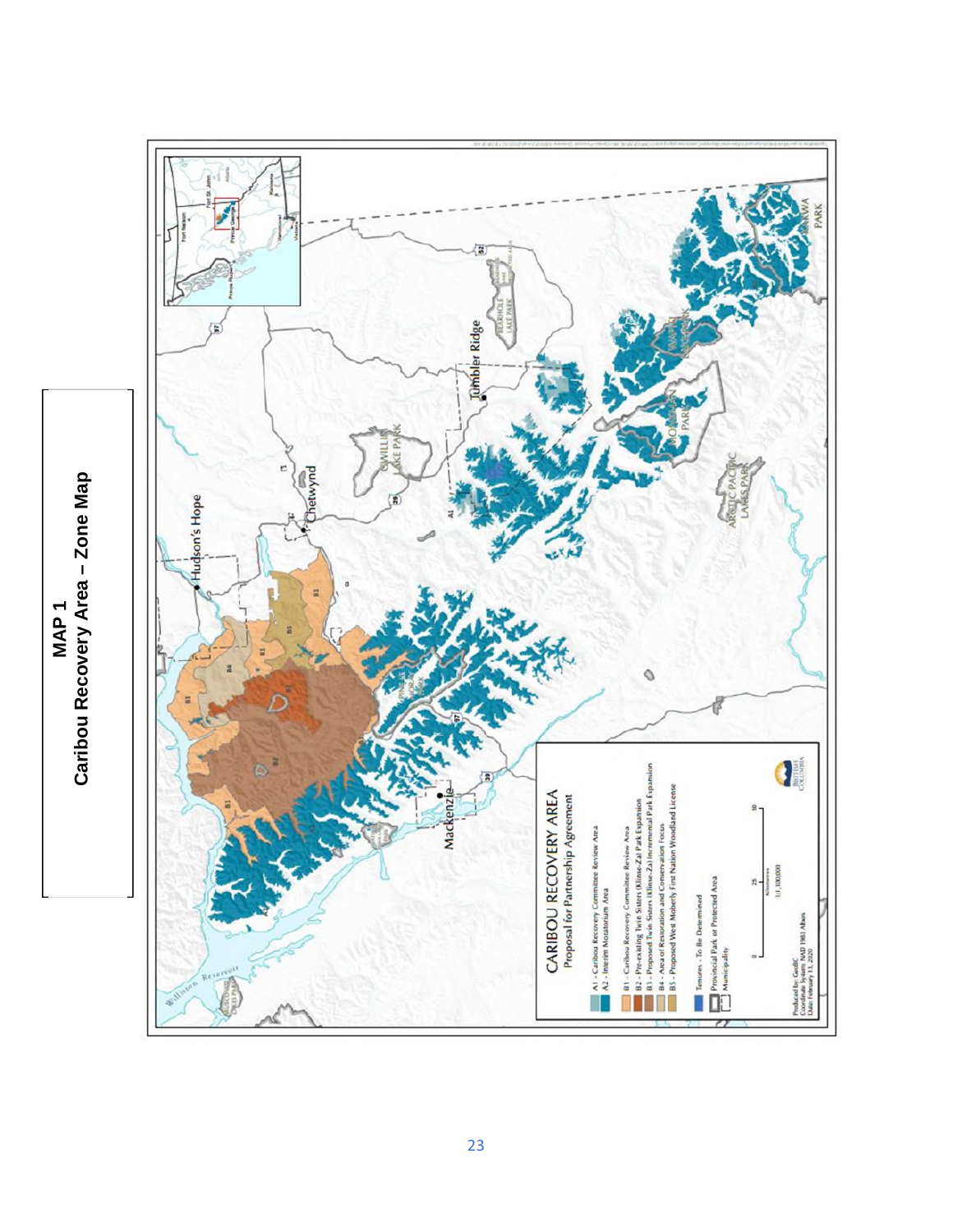<span id="page-22-0"></span>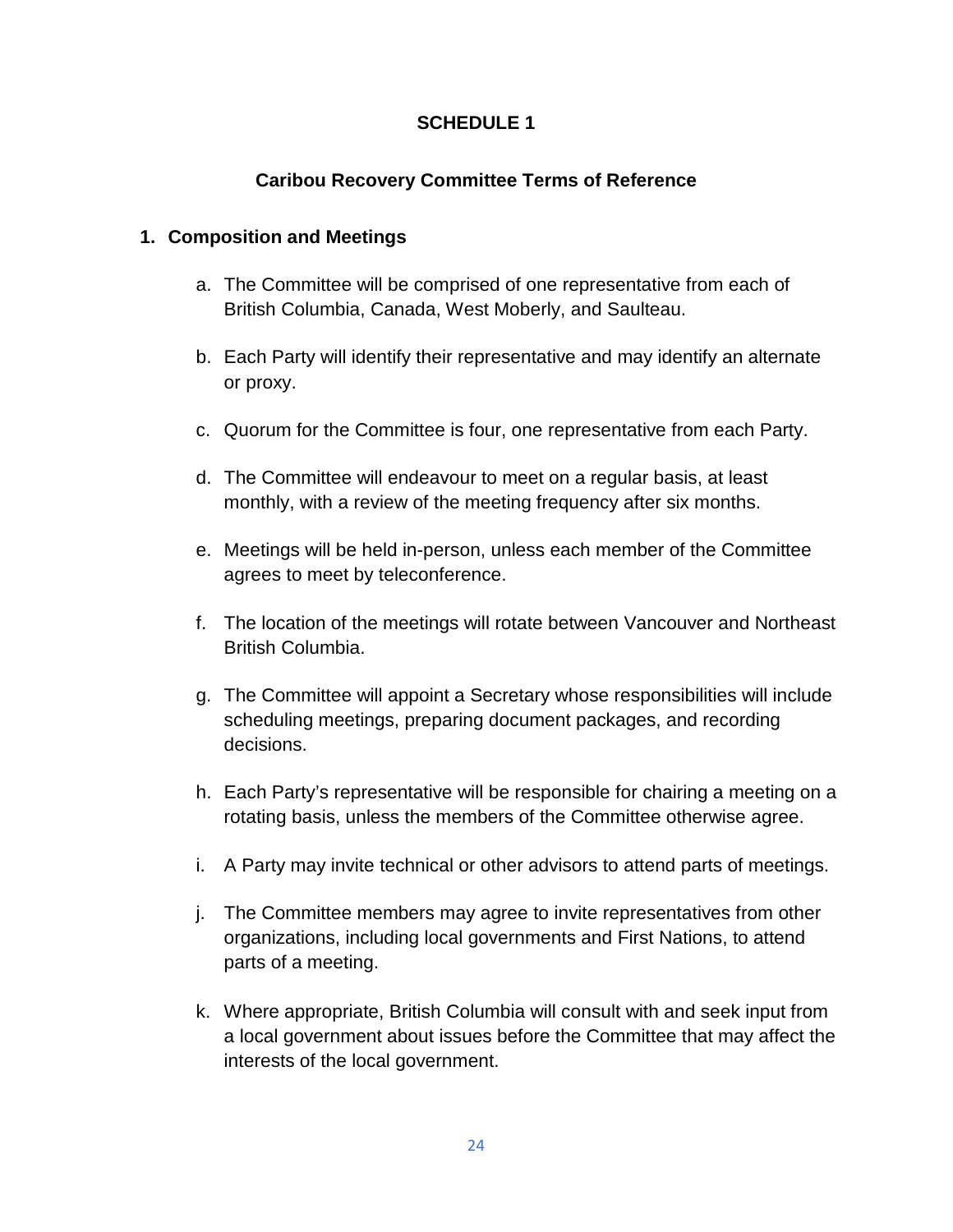# **SCHEDULE 1**

# **Caribou Recovery Committee Terms of Reference**

# **1. Composition and Meetings**

- a. The Committee will be comprised of one representative from each of British Columbia, Canada, West Moberly, and Saulteau.
- b. Each Party will identify their representative and may identify an alternate or proxy.
- c. Quorum for the Committee is four, one representative from each Party.
- d. The Committee will endeavour to meet on a regular basis, at least monthly, with a review of the meeting frequency after six months.
- e. Meetings will be held in-person, unless each member of the Committee agrees to meet by teleconference.
- f. The location of the meetings will rotate between Vancouver and Northeast British Columbia.
- g. The Committee will appoint a Secretary whose responsibilities will include scheduling meetings, preparing document packages, and recording decisions.
- h. Each Party's representative will be responsible for chairing a meeting on a rotating basis, unless the members of the Committee otherwise agree.
- i. A Party may invite technical or other advisors to attend parts of meetings.
- j. The Committee members may agree to invite representatives from other organizations, including local governments and First Nations, to attend parts of a meeting.
- k. Where appropriate, British Columbia will consult with and seek input from a local government about issues before the Committee that may affect the interests of the local government.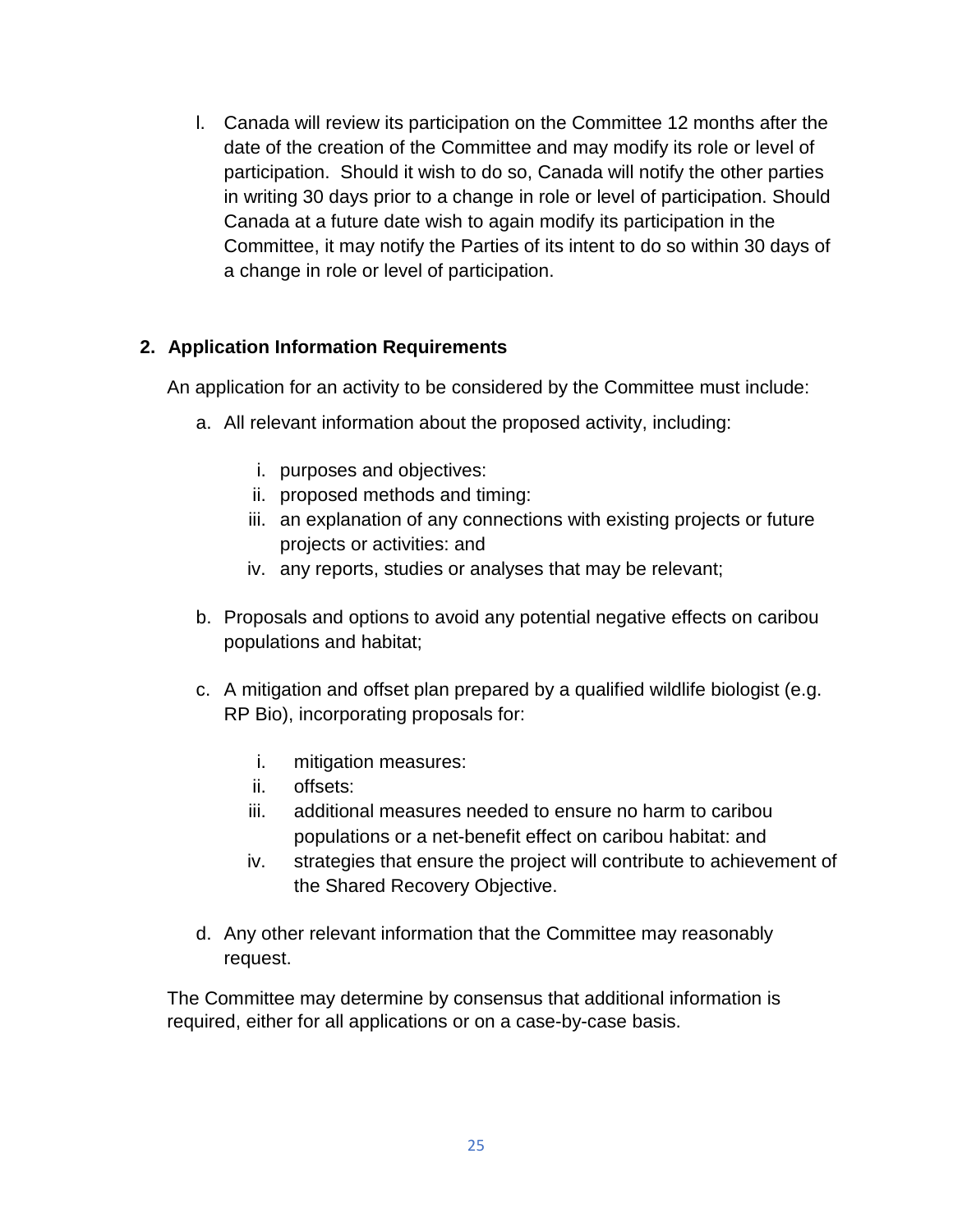l. Canada will review its participation on the Committee 12 months after the date of the creation of the Committee and may modify its role or level of participation. Should it wish to do so, Canada will notify the other parties in writing 30 days prior to a change in role or level of participation. Should Canada at a future date wish to again modify its participation in the Committee, it may notify the Parties of its intent to do so within 30 days of a change in role or level of participation.

# **2. Application Information Requirements**

An application for an activity to be considered by the Committee must include:

- a. All relevant information about the proposed activity, including:
	- i. purposes and objectives:
	- ii. proposed methods and timing:
	- iii. an explanation of any connections with existing projects or future projects or activities: and
	- iv. any reports, studies or analyses that may be relevant;
- b. Proposals and options to avoid any potential negative effects on caribou populations and habitat;
- c. A mitigation and offset plan prepared by a qualified wildlife biologist (e.g. RP Bio), incorporating proposals for:
	- i. mitigation measures:
	- ii. offsets:
	- iii. additional measures needed to ensure no harm to caribou populations or a net-benefit effect on caribou habitat: and
	- iv. strategies that ensure the project will contribute to achievement of the Shared Recovery Objective.
- d. Any other relevant information that the Committee may reasonably request.

The Committee may determine by consensus that additional information is required, either for all applications or on a case-by-case basis.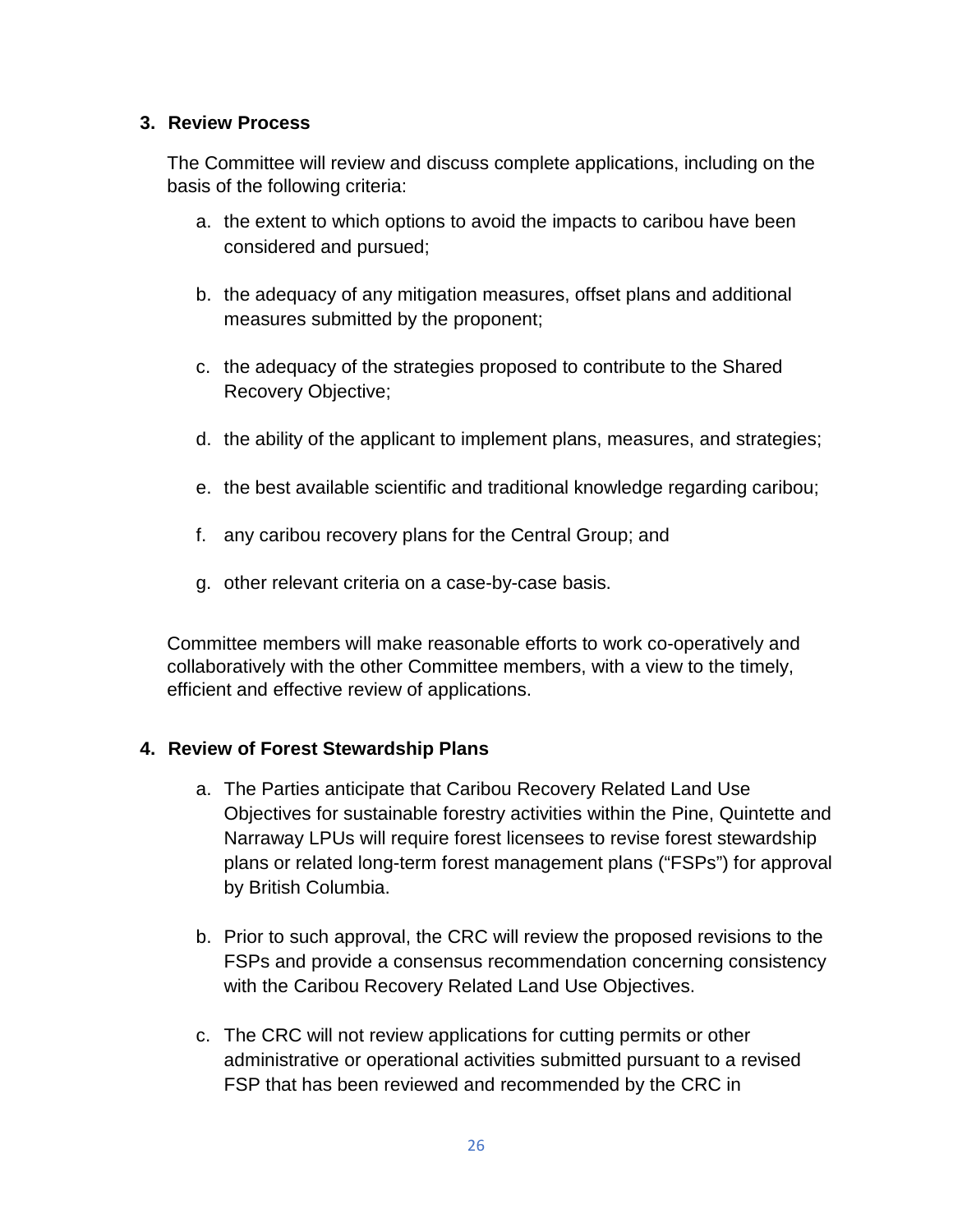# **3. Review Process**

The Committee will review and discuss complete applications, including on the basis of the following criteria:

- a. the extent to which options to avoid the impacts to caribou have been considered and pursued;
- b. the adequacy of any mitigation measures, offset plans and additional measures submitted by the proponent;
- c. the adequacy of the strategies proposed to contribute to the Shared Recovery Objective;
- d. the ability of the applicant to implement plans, measures, and strategies;
- e. the best available scientific and traditional knowledge regarding caribou;
- f. any caribou recovery plans for the Central Group; and
- g. other relevant criteria on a case-by-case basis.

Committee members will make reasonable efforts to work co-operatively and collaboratively with the other Committee members, with a view to the timely, efficient and effective review of applications.

# **4. Review of Forest Stewardship Plans**

- a. The Parties anticipate that Caribou Recovery Related Land Use Objectives for sustainable forestry activities within the Pine, Quintette and Narraway LPUs will require forest licensees to revise forest stewardship plans or related long-term forest management plans ("FSPs") for approval by British Columbia.
- b. Prior to such approval, the CRC will review the proposed revisions to the FSPs and provide a consensus recommendation concerning consistency with the Caribou Recovery Related Land Use Objectives.
- c. The CRC will not review applications for cutting permits or other administrative or operational activities submitted pursuant to a revised FSP that has been reviewed and recommended by the CRC in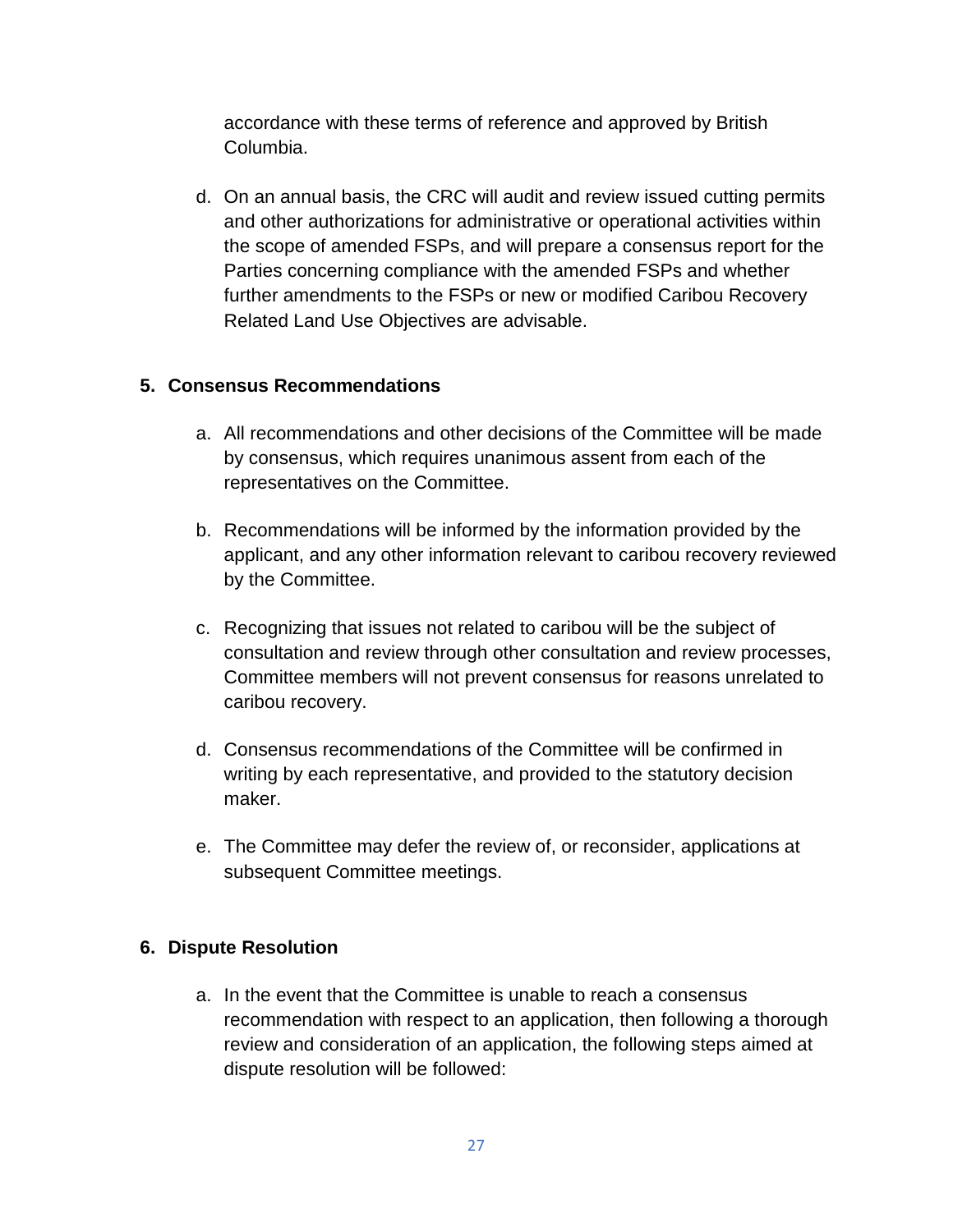accordance with these terms of reference and approved by British Columbia.

d. On an annual basis, the CRC will audit and review issued cutting permits and other authorizations for administrative or operational activities within the scope of amended FSPs, and will prepare a consensus report for the Parties concerning compliance with the amended FSPs and whether further amendments to the FSPs or new or modified Caribou Recovery Related Land Use Objectives are advisable.

# **5. Consensus Recommendations**

- a. All recommendations and other decisions of the Committee will be made by consensus, which requires unanimous assent from each of the representatives on the Committee.
- b. Recommendations will be informed by the information provided by the applicant, and any other information relevant to caribou recovery reviewed by the Committee.
- c. Recognizing that issues not related to caribou will be the subject of consultation and review through other consultation and review processes, Committee members will not prevent consensus for reasons unrelated to caribou recovery.
- d. Consensus recommendations of the Committee will be confirmed in writing by each representative, and provided to the statutory decision maker.
- e. The Committee may defer the review of, or reconsider, applications at subsequent Committee meetings.

## **6. Dispute Resolution**

a. In the event that the Committee is unable to reach a consensus recommendation with respect to an application, then following a thorough review and consideration of an application, the following steps aimed at dispute resolution will be followed: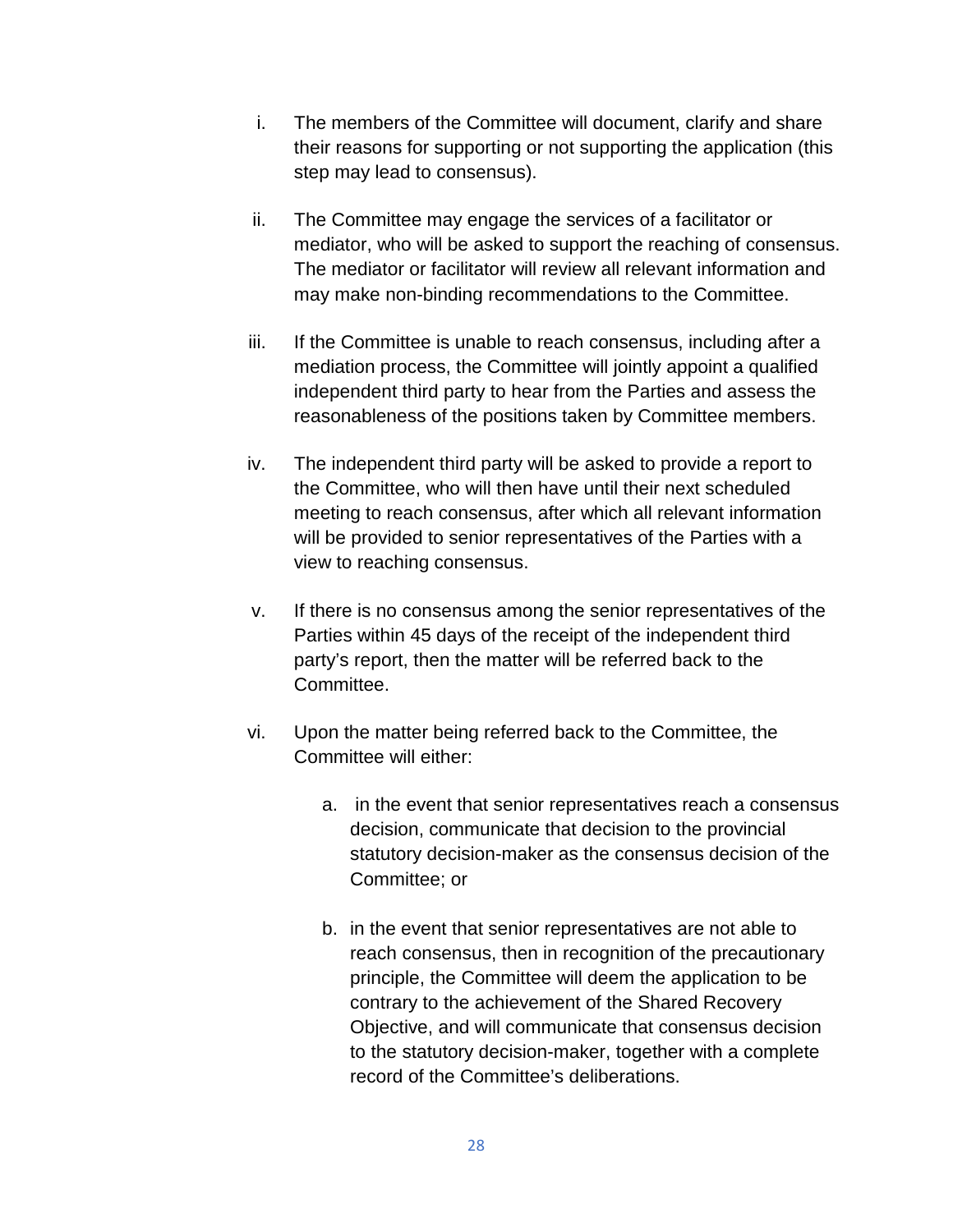- i. The members of the Committee will document, clarify and share their reasons for supporting or not supporting the application (this step may lead to consensus).
- ii. The Committee may engage the services of a facilitator or mediator, who will be asked to support the reaching of consensus. The mediator or facilitator will review all relevant information and may make non-binding recommendations to the Committee.
- iii. If the Committee is unable to reach consensus, including after a mediation process, the Committee will jointly appoint a qualified independent third party to hear from the Parties and assess the reasonableness of the positions taken by Committee members.
- iv. The independent third party will be asked to provide a report to the Committee, who will then have until their next scheduled meeting to reach consensus, after which all relevant information will be provided to senior representatives of the Parties with a view to reaching consensus.
- v. If there is no consensus among the senior representatives of the Parties within 45 days of the receipt of the independent third party's report, then the matter will be referred back to the Committee.
- vi. Upon the matter being referred back to the Committee, the Committee will either:
	- a. in the event that senior representatives reach a consensus decision, communicate that decision to the provincial statutory decision-maker as the consensus decision of the Committee; or
	- b. in the event that senior representatives are not able to reach consensus, then in recognition of the precautionary principle, the Committee will deem the application to be contrary to the achievement of the Shared Recovery Objective, and will communicate that consensus decision to the statutory decision-maker, together with a complete record of the Committee's deliberations.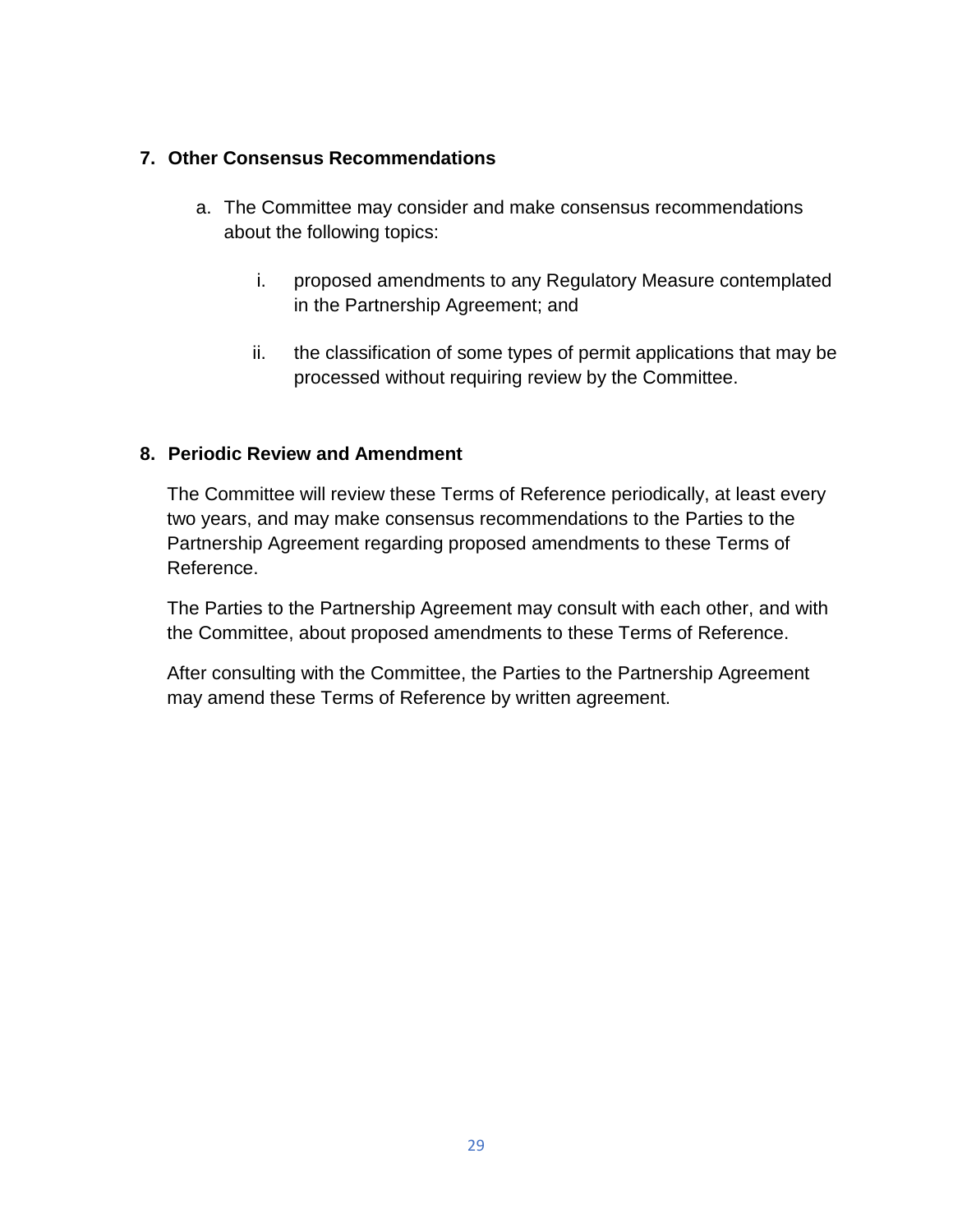# **7. Other Consensus Recommendations**

- a. The Committee may consider and make consensus recommendations about the following topics:
	- i. proposed amendments to any Regulatory Measure contemplated in the Partnership Agreement; and
	- ii. the classification of some types of permit applications that may be processed without requiring review by the Committee.

# **8. Periodic Review and Amendment**

The Committee will review these Terms of Reference periodically, at least every two years, and may make consensus recommendations to the Parties to the Partnership Agreement regarding proposed amendments to these Terms of Reference.

The Parties to the Partnership Agreement may consult with each other, and with the Committee, about proposed amendments to these Terms of Reference.

After consulting with the Committee, the Parties to the Partnership Agreement may amend these Terms of Reference by written agreement.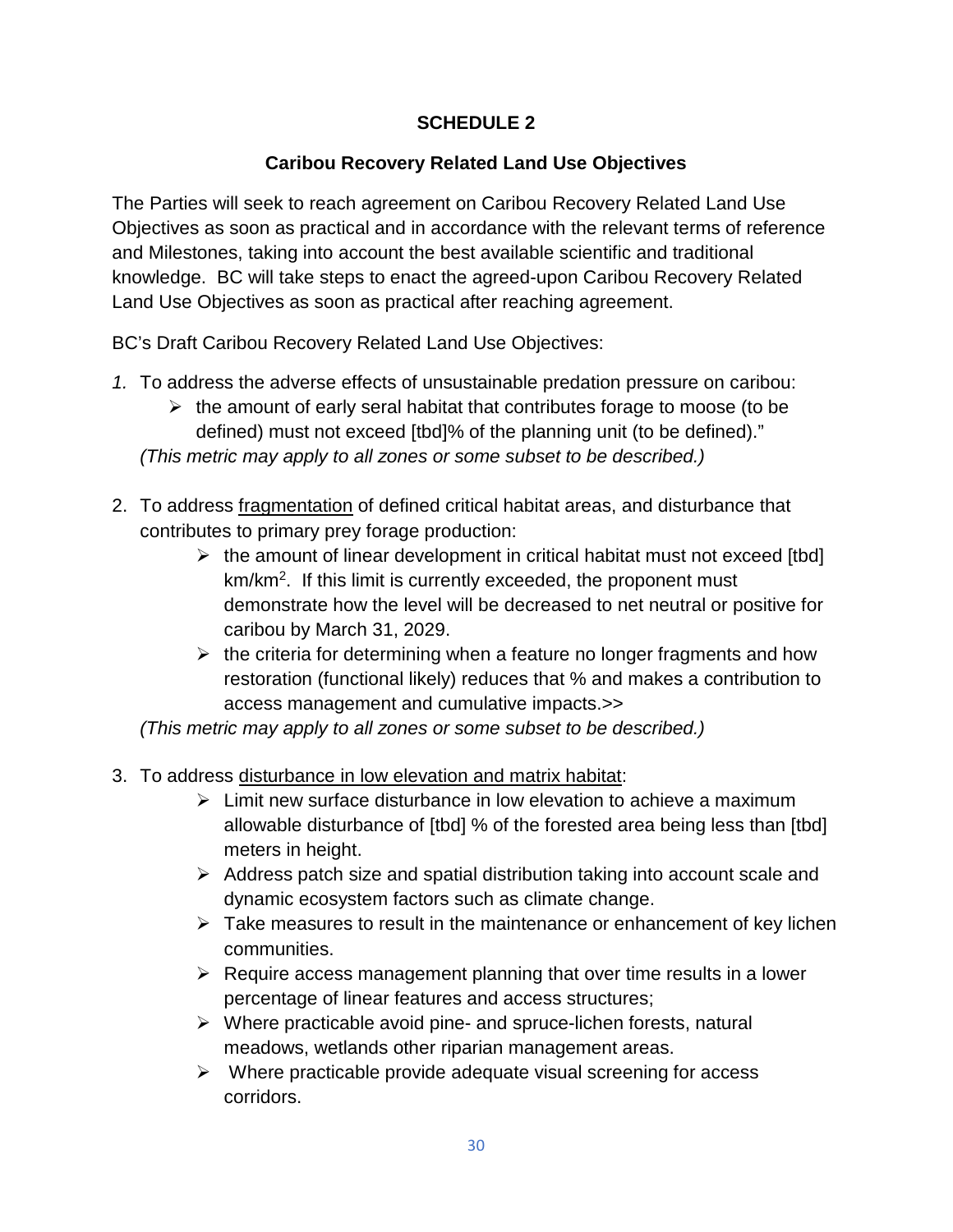# **SCHEDULE 2**

# **Caribou Recovery Related Land Use Objectives**

The Parties will seek to reach agreement on Caribou Recovery Related Land Use Objectives as soon as practical and in accordance with the relevant terms of reference and Milestones, taking into account the best available scientific and traditional knowledge. BC will take steps to enact the agreed-upon Caribou Recovery Related Land Use Objectives as soon as practical after reaching agreement.

BC's Draft Caribou Recovery Related Land Use Objectives:

- *1.* To address the adverse effects of unsustainable predation pressure on caribou:
	- $\triangleright$  the amount of early seral habitat that contributes forage to moose (to be defined) must not exceed [tbd]% of the planning unit (to be defined)."

*(This metric may apply to all zones or some subset to be described.)* 

- 2. To address fragmentation of defined critical habitat areas, and disturbance that contributes to primary prey forage production:
	- $\triangleright$  the amount of linear development in critical habitat must not exceed [tbd] km/km<sup>2</sup> . If this limit is currently exceeded, the proponent must demonstrate how the level will be decreased to net neutral or positive for caribou by March 31, 2029.
	- $\triangleright$  the criteria for determining when a feature no longer fragments and how restoration (functional likely) reduces that % and makes a contribution to access management and cumulative impacts.>>

*(This metric may apply to all zones or some subset to be described.)*

- 3. To address disturbance in low elevation and matrix habitat:
	- $\triangleright$  Limit new surface disturbance in low elevation to achieve a maximum allowable disturbance of [tbd] % of the forested area being less than [tbd] meters in height.
	- $\triangleright$  Address patch size and spatial distribution taking into account scale and dynamic ecosystem factors such as climate change.
	- $\triangleright$  Take measures to result in the maintenance or enhancement of key lichen communities.
	- $\triangleright$  Require access management planning that over time results in a lower percentage of linear features and access structures;
	- $\triangleright$  Where practicable avoid pine- and spruce-lichen forests, natural meadows, wetlands other riparian management areas.
	- $\triangleright$  Where practicable provide adequate visual screening for access corridors.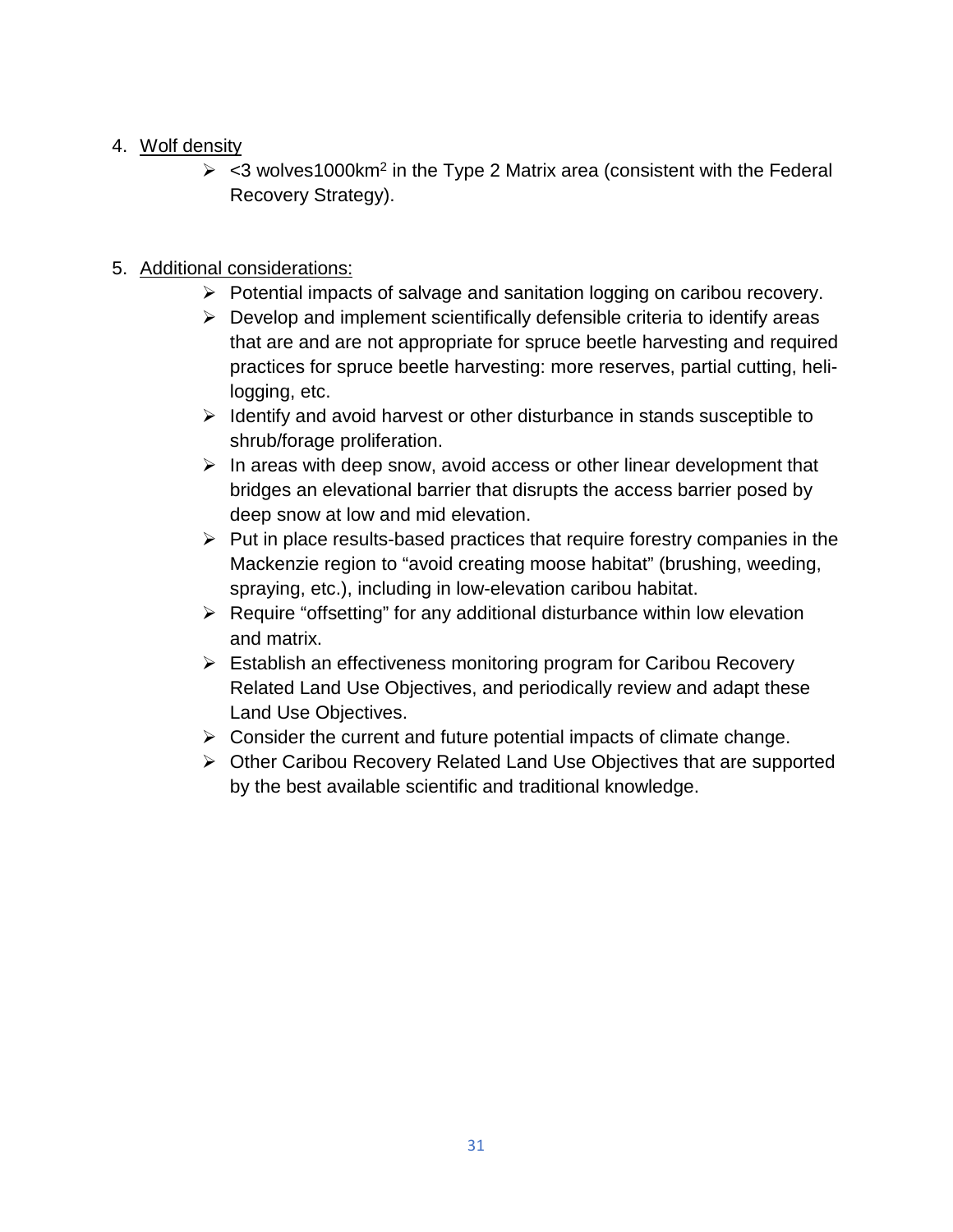# 4. Wolf density

 $\ge$  <3 wolves1000 km<sup>2</sup> in the Type 2 Matrix area (consistent with the Federal Recovery Strategy).

# 5. Additional considerations:

- Potential impacts of salvage and sanitation logging on caribou recovery.
- $\triangleright$  Develop and implement scientifically defensible criteria to identify areas that are and are not appropriate for spruce beetle harvesting and required practices for spruce beetle harvesting: more reserves, partial cutting, helilogging, etc.
- $\triangleright$  Identify and avoid harvest or other disturbance in stands susceptible to shrub/forage proliferation.
- $\triangleright$  In areas with deep snow, avoid access or other linear development that bridges an elevational barrier that disrupts the access barrier posed by deep snow at low and mid elevation.
- $\triangleright$  Put in place results-based practices that require forestry companies in the Mackenzie region to "avoid creating moose habitat" (brushing, weeding, spraying, etc.), including in low-elevation caribou habitat.
- $\triangleright$  Require "offsetting" for any additional disturbance within low elevation and matrix.
- Establish an effectiveness monitoring program for Caribou Recovery Related Land Use Objectives, and periodically review and adapt these Land Use Objectives.
- $\triangleright$  Consider the current and future potential impacts of climate change.
- ▶ Other Caribou Recovery Related Land Use Objectives that are supported by the best available scientific and traditional knowledge.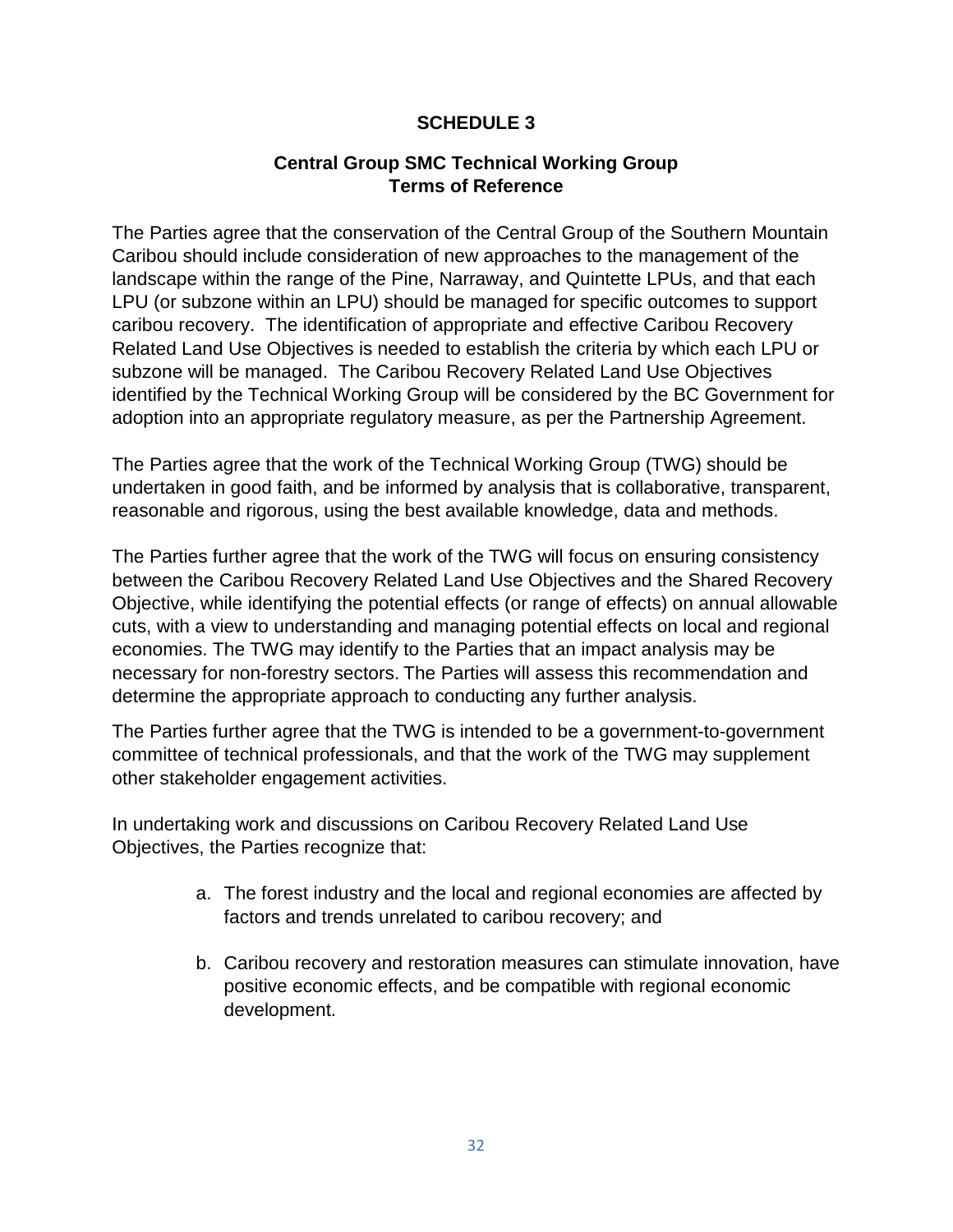# **SCHEDULE 3**

# **Central Group SMC Technical Working Group Terms of Reference**

The Parties agree that the conservation of the Central Group of the Southern Mountain Caribou should include consideration of new approaches to the management of the landscape within the range of the Pine, Narraway, and Quintette LPUs, and that each LPU (or subzone within an LPU) should be managed for specific outcomes to support caribou recovery. The identification of appropriate and effective Caribou Recovery Related Land Use Objectives is needed to establish the criteria by which each LPU or subzone will be managed. The Caribou Recovery Related Land Use Objectives identified by the Technical Working Group will be considered by the BC Government for adoption into an appropriate regulatory measure, as per the Partnership Agreement.

The Parties agree that the work of the Technical Working Group (TWG) should be undertaken in good faith, and be informed by analysis that is collaborative, transparent, reasonable and rigorous, using the best available knowledge, data and methods.

The Parties further agree that the work of the TWG will focus on ensuring consistency between the Caribou Recovery Related Land Use Objectives and the Shared Recovery Objective, while identifying the potential effects (or range of effects) on annual allowable cuts, with a view to understanding and managing potential effects on local and regional economies. The TWG may identify to the Parties that an impact analysis may be necessary for non-forestry sectors. The Parties will assess this recommendation and determine the appropriate approach to conducting any further analysis.

The Parties further agree that the TWG is intended to be a government-to-government committee of technical professionals, and that the work of the TWG may supplement other stakeholder engagement activities.

In undertaking work and discussions on Caribou Recovery Related Land Use Objectives, the Parties recognize that:

- a. The forest industry and the local and regional economies are affected by factors and trends unrelated to caribou recovery; and
- b. Caribou recovery and restoration measures can stimulate innovation, have positive economic effects, and be compatible with regional economic development.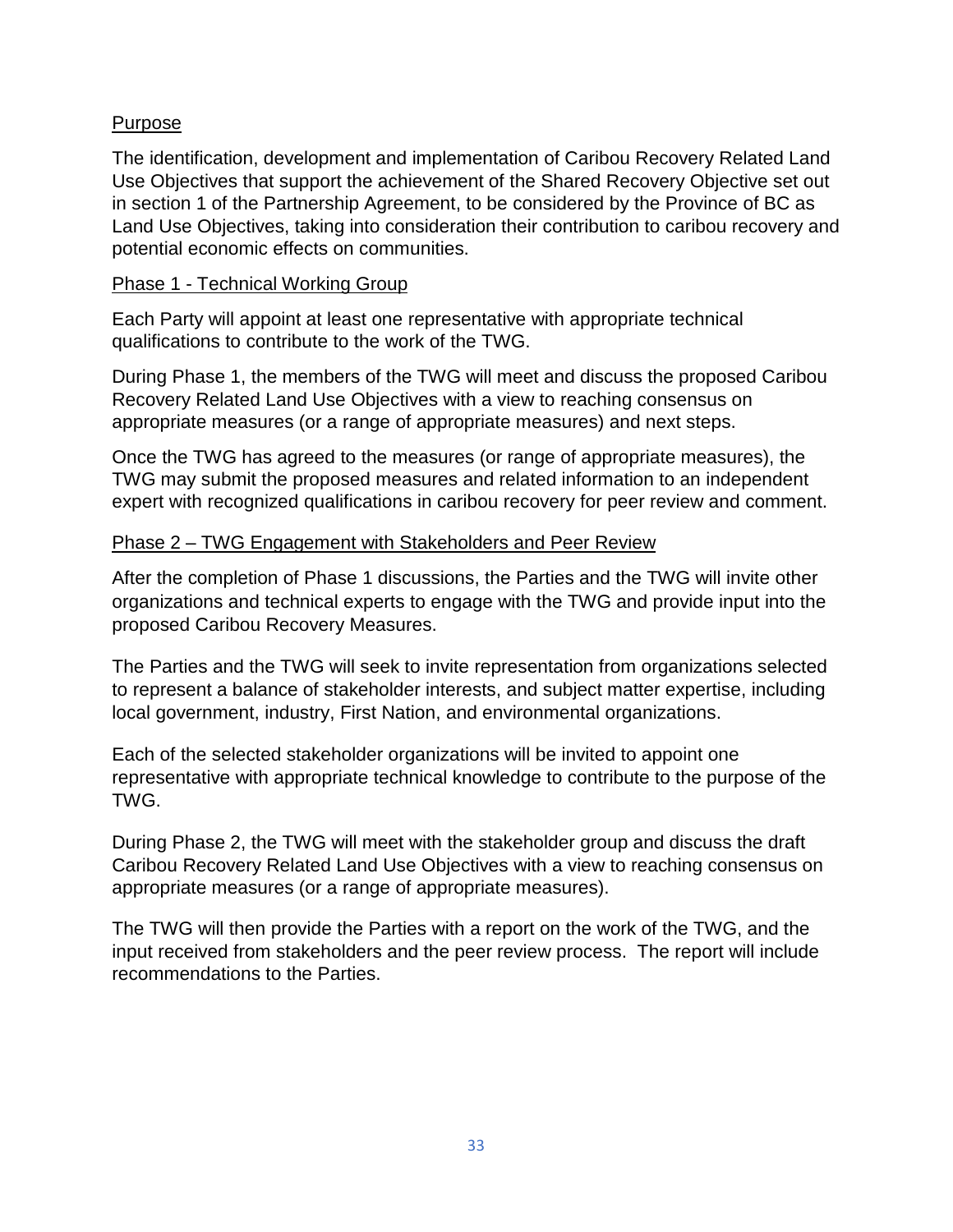# Purpose

The identification, development and implementation of Caribou Recovery Related Land Use Objectives that support the achievement of the Shared Recovery Objective set out in section 1 of the Partnership Agreement, to be considered by the Province of BC as Land Use Objectives, taking into consideration their contribution to caribou recovery and potential economic effects on communities.

## Phase 1 - Technical Working Group

Each Party will appoint at least one representative with appropriate technical qualifications to contribute to the work of the TWG.

During Phase 1, the members of the TWG will meet and discuss the proposed Caribou Recovery Related Land Use Objectives with a view to reaching consensus on appropriate measures (or a range of appropriate measures) and next steps.

Once the TWG has agreed to the measures (or range of appropriate measures), the TWG may submit the proposed measures and related information to an independent expert with recognized qualifications in caribou recovery for peer review and comment.

# Phase 2 – TWG Engagement with Stakeholders and Peer Review

After the completion of Phase 1 discussions, the Parties and the TWG will invite other organizations and technical experts to engage with the TWG and provide input into the proposed Caribou Recovery Measures.

The Parties and the TWG will seek to invite representation from organizations selected to represent a balance of stakeholder interests, and subject matter expertise, including local government, industry, First Nation, and environmental organizations.

Each of the selected stakeholder organizations will be invited to appoint one representative with appropriate technical knowledge to contribute to the purpose of the TWG.

During Phase 2, the TWG will meet with the stakeholder group and discuss the draft Caribou Recovery Related Land Use Objectives with a view to reaching consensus on appropriate measures (or a range of appropriate measures).

The TWG will then provide the Parties with a report on the work of the TWG, and the input received from stakeholders and the peer review process. The report will include recommendations to the Parties.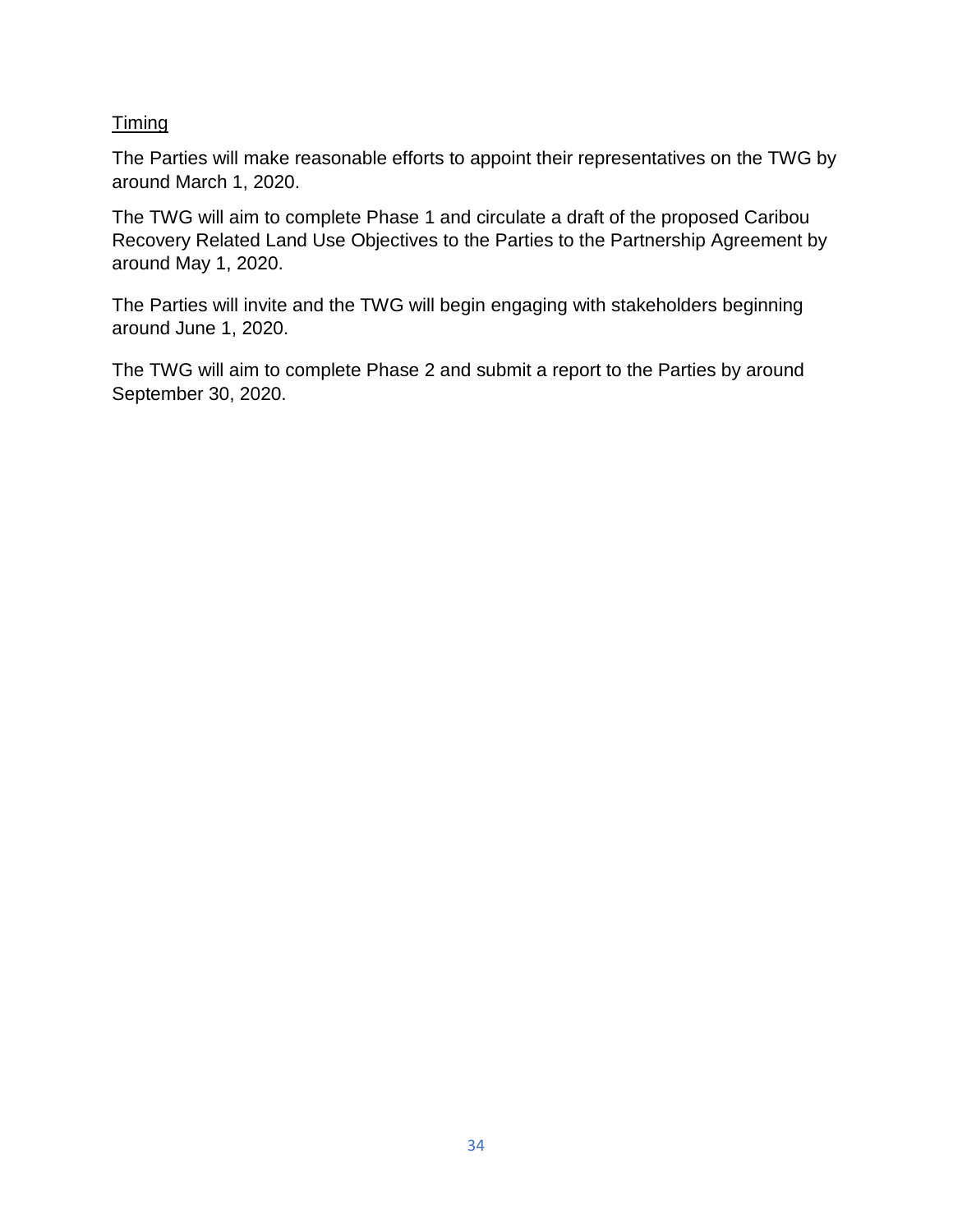# **Timing**

The Parties will make reasonable efforts to appoint their representatives on the TWG by around March 1, 2020.

The TWG will aim to complete Phase 1 and circulate a draft of the proposed Caribou Recovery Related Land Use Objectives to the Parties to the Partnership Agreement by around May 1, 2020.

The Parties will invite and the TWG will begin engaging with stakeholders beginning around June 1, 2020.

The TWG will aim to complete Phase 2 and submit a report to the Parties by around September 30, 2020.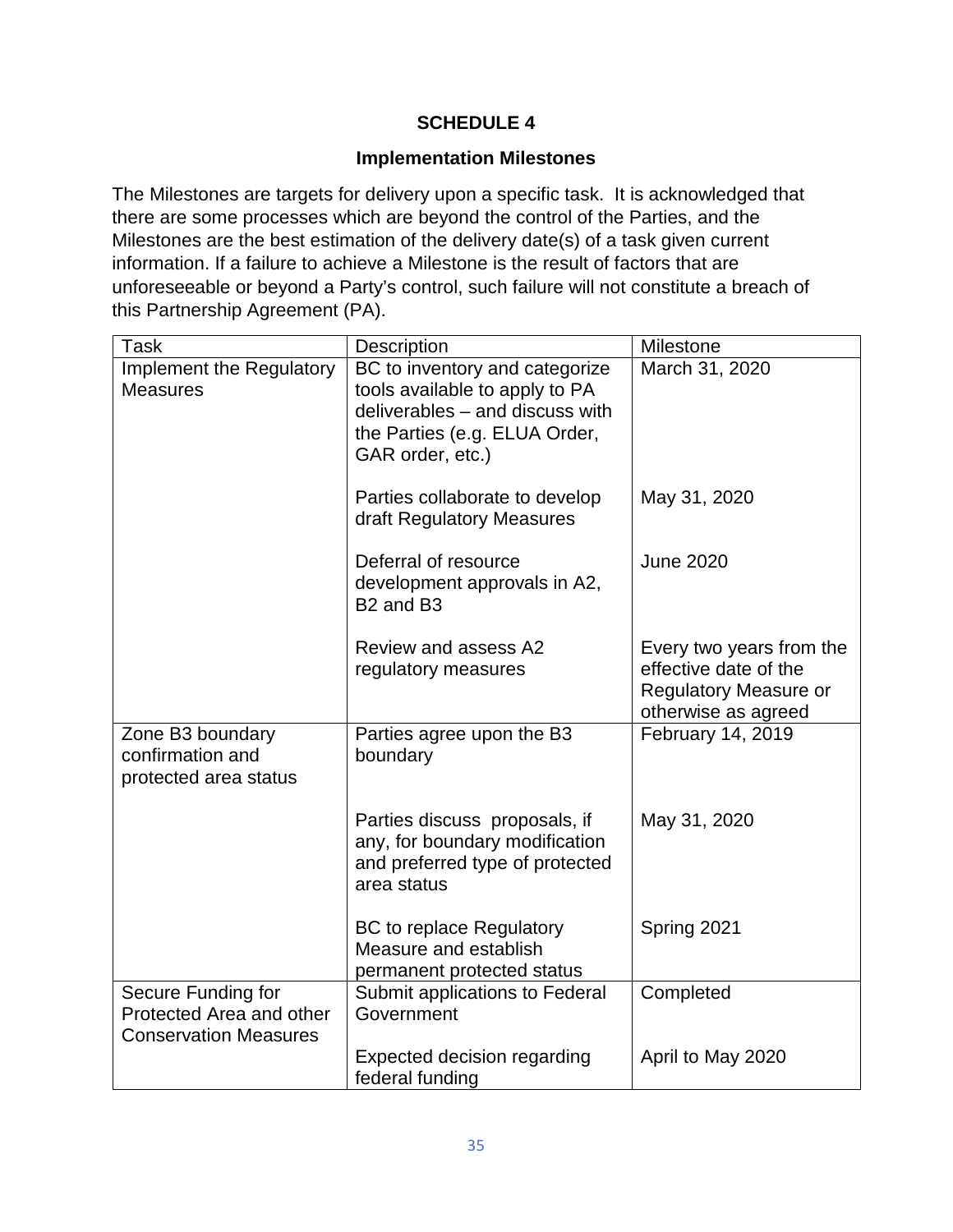# **SCHEDULE 4**

# **Implementation Milestones**

The Milestones are targets for delivery upon a specific task. It is acknowledged that there are some processes which are beyond the control of the Parties, and the Milestones are the best estimation of the delivery date(s) of a task given current information. If a failure to achieve a Milestone is the result of factors that are unforeseeable or beyond a Party's control, such failure will not constitute a breach of this Partnership Agreement (PA).

| <b>Task</b>                                                                    | Description                                                                                                                                              | Milestone                                                                                                |
|--------------------------------------------------------------------------------|----------------------------------------------------------------------------------------------------------------------------------------------------------|----------------------------------------------------------------------------------------------------------|
| Implement the Regulatory<br><b>Measures</b>                                    | BC to inventory and categorize<br>tools available to apply to PA<br>deliverables - and discuss with<br>the Parties (e.g. ELUA Order,<br>GAR order, etc.) | March 31, 2020                                                                                           |
|                                                                                | Parties collaborate to develop<br>draft Regulatory Measures                                                                                              | May 31, 2020                                                                                             |
|                                                                                | Deferral of resource<br>development approvals in A2,<br>B <sub>2</sub> and B <sub>3</sub>                                                                | <b>June 2020</b>                                                                                         |
|                                                                                | Review and assess A2<br>regulatory measures                                                                                                              | Every two years from the<br>effective date of the<br><b>Regulatory Measure or</b><br>otherwise as agreed |
| Zone B3 boundary<br>confirmation and<br>protected area status                  | Parties agree upon the B3<br>boundary                                                                                                                    | February 14, 2019                                                                                        |
|                                                                                | Parties discuss proposals, if<br>any, for boundary modification<br>and preferred type of protected<br>area status                                        | May 31, 2020                                                                                             |
|                                                                                | <b>BC</b> to replace Regulatory<br>Measure and establish<br>permanent protected status                                                                   | Spring 2021                                                                                              |
| Secure Funding for<br>Protected Area and other<br><b>Conservation Measures</b> | Submit applications to Federal<br>Government                                                                                                             | Completed                                                                                                |
|                                                                                | <b>Expected decision regarding</b><br>federal funding                                                                                                    | April to May 2020                                                                                        |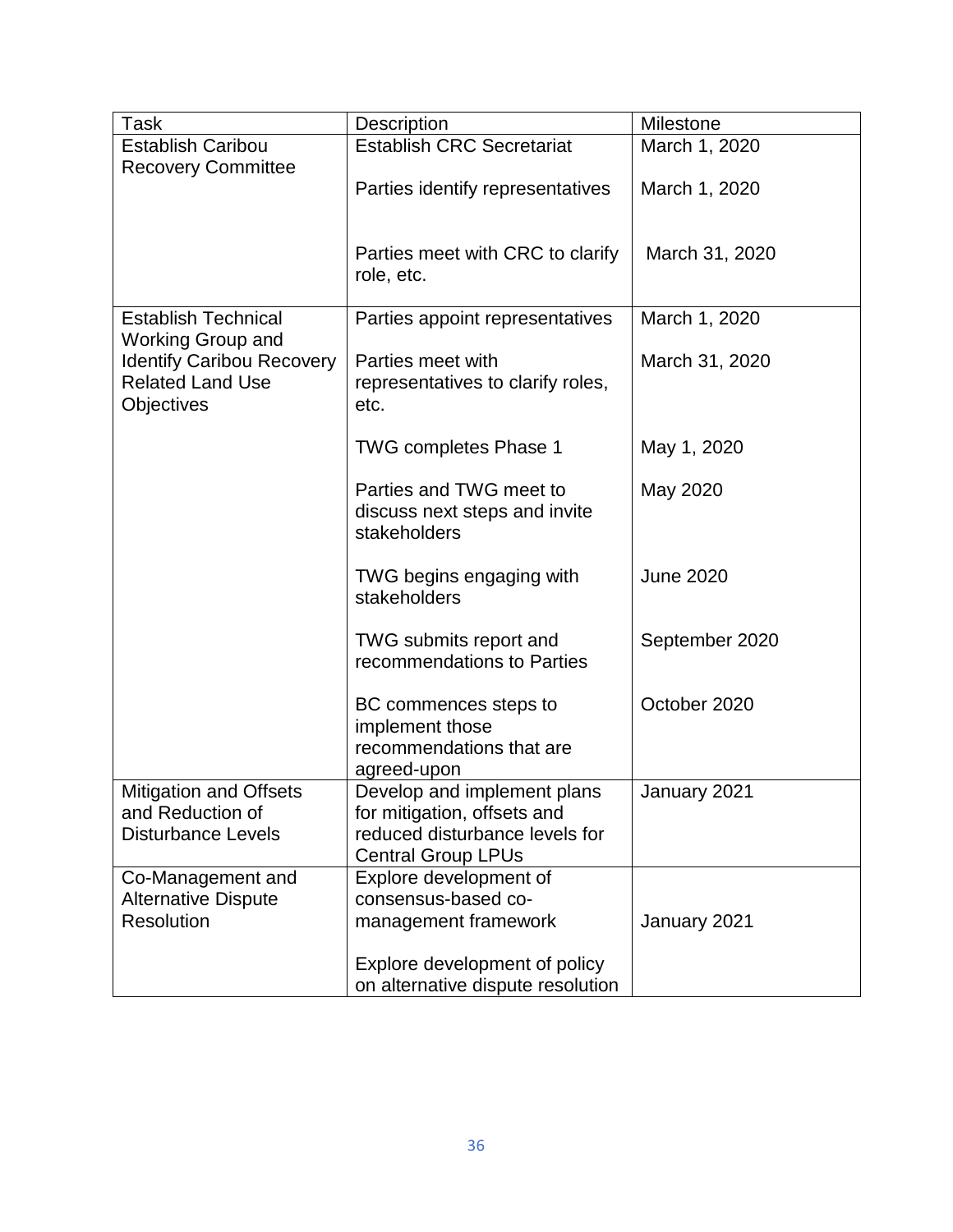| Task                                                                             | <b>Description</b>                                                                                                        | Milestone        |
|----------------------------------------------------------------------------------|---------------------------------------------------------------------------------------------------------------------------|------------------|
| <b>Establish Caribou</b>                                                         | <b>Establish CRC Secretariat</b>                                                                                          | March 1, 2020    |
| <b>Recovery Committee</b>                                                        | Parties identify representatives                                                                                          | March 1, 2020    |
|                                                                                  | Parties meet with CRC to clarify<br>role, etc.                                                                            | March 31, 2020   |
| <b>Establish Technical</b><br><b>Working Group and</b>                           | Parties appoint representatives                                                                                           | March 1, 2020    |
| <b>Identify Caribou Recovery</b><br><b>Related Land Use</b><br><b>Objectives</b> | Parties meet with<br>representatives to clarify roles,<br>etc.                                                            | March 31, 2020   |
|                                                                                  | <b>TWG completes Phase 1</b>                                                                                              | May 1, 2020      |
|                                                                                  | Parties and TWG meet to<br>discuss next steps and invite<br>stakeholders                                                  | May 2020         |
|                                                                                  | TWG begins engaging with<br>stakeholders                                                                                  | <b>June 2020</b> |
|                                                                                  | TWG submits report and<br>recommendations to Parties                                                                      | September 2020   |
|                                                                                  | BC commences steps to<br>implement those<br>recommendations that are<br>agreed-upon                                       | October 2020     |
| <b>Mitigation and Offsets</b><br>and Reduction of<br><b>Disturbance Levels</b>   | Develop and implement plans<br>for mitigation, offsets and<br>reduced disturbance levels for<br><b>Central Group LPUs</b> | January 2021     |
| Co-Management and                                                                | Explore development of                                                                                                    |                  |
| <b>Alternative Dispute</b>                                                       | consensus-based co-                                                                                                       |                  |
| <b>Resolution</b>                                                                | management framework                                                                                                      | January 2021     |
|                                                                                  | Explore development of policy<br>on alternative dispute resolution                                                        |                  |